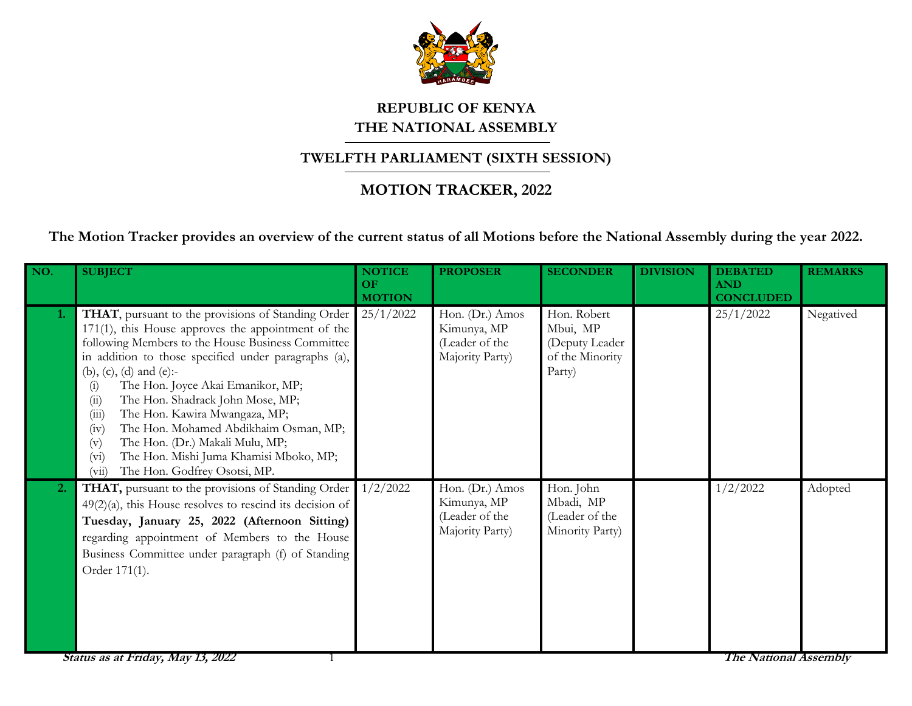

## **REPUBLIC OF KENYA THE NATIONAL ASSEMBLY**

## **TWELFTH PARLIAMENT (SIXTH SESSION)**

## **MOTION TRACKER, 2022**

**The Motion Tracker provides an overview of the current status of all Motions before the National Assembly during the year 2022.**

| NO. | <b>SUBJECT</b>                                                                                                                                                                                                                                                                                                                                                                                                                                                                                                                                                              | <b>NOTICE</b><br>OF<br><b>MOTION</b> | <b>PROPOSER</b>                                                     | <b>SECONDER</b>                                                        | <b>DIVISION</b> | <b>DEBATED</b><br><b>AND</b><br><b>CONCLUDED</b> | <b>REMARKS</b> |
|-----|-----------------------------------------------------------------------------------------------------------------------------------------------------------------------------------------------------------------------------------------------------------------------------------------------------------------------------------------------------------------------------------------------------------------------------------------------------------------------------------------------------------------------------------------------------------------------------|--------------------------------------|---------------------------------------------------------------------|------------------------------------------------------------------------|-----------------|--------------------------------------------------|----------------|
| 1.  | THAT, pursuant to the provisions of Standing Order<br>171(1), this House approves the appointment of the<br>following Members to the House Business Committee<br>in addition to those specified under paragraphs (a),<br>(b), (c), (d) and (e):-<br>The Hon. Joyce Akai Emanikor, MP;<br>(i)<br>(ii)<br>The Hon. Shadrack John Mose, MP;<br>(iii)<br>The Hon. Kawira Mwangaza, MP;<br>The Hon. Mohamed Abdikhaim Osman, MP;<br>(iv)<br>The Hon. (Dr.) Makali Mulu, MP;<br>(v)<br>The Hon. Mishi Juma Khamisi Mboko, MP;<br>$(v_i)$<br>The Hon. Godfrey Osotsi, MP.<br>(vii) | 25/1/2022                            | Hon. (Dr.) Amos<br>Kimunya, MP<br>(Leader of the<br>Majority Party) | Hon. Robert<br>Mbui, MP<br>(Deputy Leader<br>of the Minority<br>Party) |                 | 25/1/2022                                        | Negatived      |
| 2.  | THAT, pursuant to the provisions of Standing Order<br>$49(2)(a)$ , this House resolves to rescind its decision of<br>Tuesday, January 25, 2022 (Afternoon Sitting)<br>regarding appointment of Members to the House<br>Business Committee under paragraph (f) of Standing<br>Order 171(1).                                                                                                                                                                                                                                                                                  | 1/2/2022                             | Hon. (Dr.) Amos<br>Kimunya, MP<br>(Leader of the<br>Majority Party) | Hon. John<br>Mbadi, MP<br>(Leader of the<br>Minority Party)            |                 | 1/2/2022                                         | Adopted        |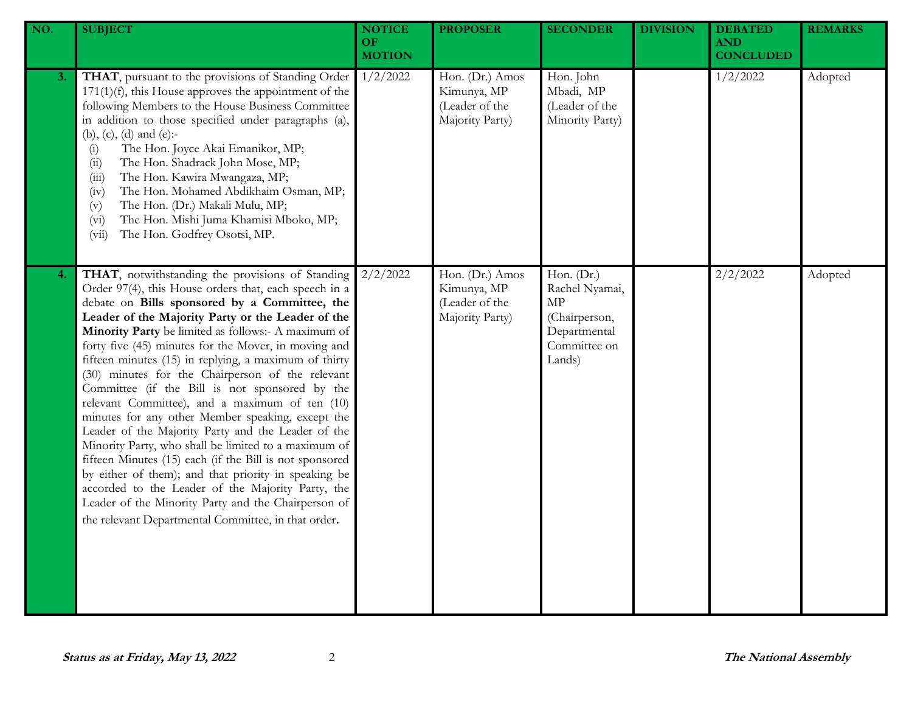| NO. | <b>SUBJECT</b>                                                                                                                                                                                                                                                                                                                                                                                                                                                                                                                                                                                                                                                                                                                                                                                                                                                                                                                                                                                           | <b>NOTICE</b><br><b>OF</b><br><b>MOTION</b> | <b>PROPOSER</b>                                                     | <b>SECONDER</b>                                                                               | <b>DIVISION</b> | <b>DEBATED</b><br><b>AND</b><br><b>CONCLUDED</b> | <b>REMARKS</b> |
|-----|----------------------------------------------------------------------------------------------------------------------------------------------------------------------------------------------------------------------------------------------------------------------------------------------------------------------------------------------------------------------------------------------------------------------------------------------------------------------------------------------------------------------------------------------------------------------------------------------------------------------------------------------------------------------------------------------------------------------------------------------------------------------------------------------------------------------------------------------------------------------------------------------------------------------------------------------------------------------------------------------------------|---------------------------------------------|---------------------------------------------------------------------|-----------------------------------------------------------------------------------------------|-----------------|--------------------------------------------------|----------------|
| 3.  | THAT, pursuant to the provisions of Standing Order<br>$171(1)(f)$ , this House approves the appointment of the<br>following Members to the House Business Committee<br>in addition to those specified under paragraphs (a),<br>(b), (c), (d) and (e):-<br>The Hon. Joyce Akai Emanikor, MP;<br>(i)<br>The Hon. Shadrack John Mose, MP;<br>(ii)<br>The Hon. Kawira Mwangaza, MP;<br>(iii)<br>The Hon. Mohamed Abdikhaim Osman, MP;<br>(iv)<br>The Hon. (Dr.) Makali Mulu, MP;<br>(v)<br>The Hon. Mishi Juma Khamisi Mboko, MP;<br>(v <sub>i</sub> )<br>The Hon. Godfrey Osotsi, MP.<br>(vii)                                                                                                                                                                                                                                                                                                                                                                                                              | 1/2/2022                                    | Hon. (Dr.) Amos<br>Kimunya, MP<br>(Leader of the<br>Majority Party) | Hon. John<br>Mbadi, MP<br>(Leader of the<br>Minority Party)                                   |                 | 1/2/2022                                         | Adopted        |
| 4.  | THAT, notwithstanding the provisions of Standing<br>Order 97(4), this House orders that, each speech in a<br>debate on Bills sponsored by a Committee, the<br>Leader of the Majority Party or the Leader of the<br>Minority Party be limited as follows:- A maximum of<br>forty five (45) minutes for the Mover, in moving and<br>fifteen minutes (15) in replying, a maximum of thirty<br>(30) minutes for the Chairperson of the relevant<br>Committee (if the Bill is not sponsored by the<br>relevant Committee), and a maximum of ten (10)<br>minutes for any other Member speaking, except the<br>Leader of the Majority Party and the Leader of the<br>Minority Party, who shall be limited to a maximum of<br>fifteen Minutes (15) each (if the Bill is not sponsored<br>by either of them); and that priority in speaking be<br>accorded to the Leader of the Majority Party, the<br>Leader of the Minority Party and the Chairperson of<br>the relevant Departmental Committee, in that order. | 2/2/2022                                    | Hon. (Dr.) Amos<br>Kimunya, MP<br>(Leader of the<br>Majority Party) | Hon. (Dr.)<br>Rachel Nyamai,<br>MP<br>(Chairperson,<br>Departmental<br>Committee on<br>Lands) |                 | 2/2/2022                                         | Adopted        |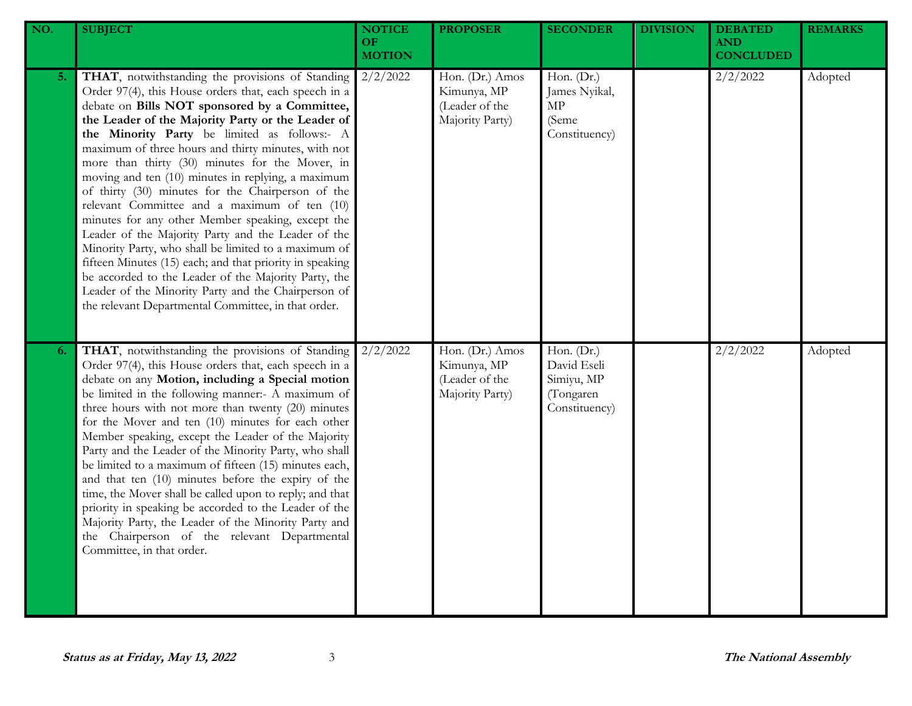| NO. | <b>SUBJECT</b>                                                                                                                                                                                                                                                                                                                                                                                                                                                                                                                                                                                                                                                                                                                                                                                                                                                                                                                            | <b>NOTICE</b><br>OF<br><b>MOTION</b> | <b>PROPOSER</b>                                                     | <b>SECONDER</b>                                                       | <b>DIVISION</b> | <b>DEBATED</b><br><b>AND</b><br><b>CONCLUDED</b> | <b>REMARKS</b> |
|-----|-------------------------------------------------------------------------------------------------------------------------------------------------------------------------------------------------------------------------------------------------------------------------------------------------------------------------------------------------------------------------------------------------------------------------------------------------------------------------------------------------------------------------------------------------------------------------------------------------------------------------------------------------------------------------------------------------------------------------------------------------------------------------------------------------------------------------------------------------------------------------------------------------------------------------------------------|--------------------------------------|---------------------------------------------------------------------|-----------------------------------------------------------------------|-----------------|--------------------------------------------------|----------------|
| 5.  | THAT, notwithstanding the provisions of Standing<br>Order 97(4), this House orders that, each speech in a<br>debate on Bills NOT sponsored by a Committee,<br>the Leader of the Majority Party or the Leader of<br>the Minority Party be limited as follows:- A<br>maximum of three hours and thirty minutes, with not<br>more than thirty (30) minutes for the Mover, in<br>moving and ten (10) minutes in replying, a maximum<br>of thirty (30) minutes for the Chairperson of the<br>relevant Committee and a maximum of ten (10)<br>minutes for any other Member speaking, except the<br>Leader of the Majority Party and the Leader of the<br>Minority Party, who shall be limited to a maximum of<br>fifteen Minutes (15) each; and that priority in speaking<br>be accorded to the Leader of the Majority Party, the<br>Leader of the Minority Party and the Chairperson of<br>the relevant Departmental Committee, in that order. | 2/2/2022                             | Hon. (Dr.) Amos<br>Kimunya, MP<br>(Leader of the<br>Majority Party) | Hon. (Dr.)<br>James Nyikal,<br>MP<br>(Seme<br>Constituency)           |                 | 2/2/2022                                         | Adopted        |
| 6.  | THAT, notwithstanding the provisions of Standing<br>Order 97(4), this House orders that, each speech in a<br>debate on any Motion, including a Special motion<br>be limited in the following manner:- A maximum of<br>three hours with not more than twenty (20) minutes<br>for the Mover and ten (10) minutes for each other<br>Member speaking, except the Leader of the Majority<br>Party and the Leader of the Minority Party, who shall<br>be limited to a maximum of fifteen (15) minutes each,<br>and that ten (10) minutes before the expiry of the<br>time, the Mover shall be called upon to reply; and that<br>priority in speaking be accorded to the Leader of the<br>Majority Party, the Leader of the Minority Party and<br>the Chairperson of the relevant Departmental<br>Committee, in that order.                                                                                                                      | 2/2/2022                             | Hon. (Dr.) Amos<br>Kimunya, MP<br>(Leader of the<br>Majority Party) | Hon. (Dr.)<br>David Eseli<br>Simiyu, MP<br>(Tongaren<br>Constituency) |                 | 2/2/2022                                         | Adopted        |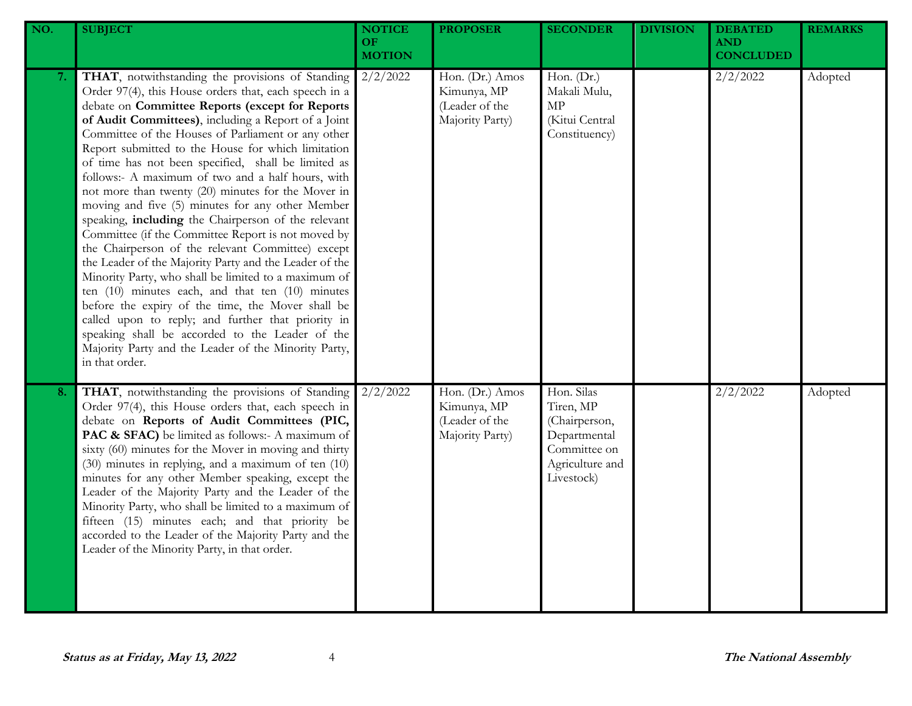| NO. | <b>SUBJECT</b>                                                                                                                                                                                                                                                                                                                                                                                                                                                                                                                                                                                                                                                                                                                                                                                                                                                                                                                                                                                                                                                                                                                        | <b>NOTICE</b><br><b>OF</b><br><b>MOTION</b> | <b>PROPOSER</b>                                                     | <b>SECONDER</b>                                                                                           | <b>DIVISION</b> | <b>DEBATED</b><br><b>AND</b><br><b>CONCLUDED</b> | <b>REMARKS</b> |
|-----|---------------------------------------------------------------------------------------------------------------------------------------------------------------------------------------------------------------------------------------------------------------------------------------------------------------------------------------------------------------------------------------------------------------------------------------------------------------------------------------------------------------------------------------------------------------------------------------------------------------------------------------------------------------------------------------------------------------------------------------------------------------------------------------------------------------------------------------------------------------------------------------------------------------------------------------------------------------------------------------------------------------------------------------------------------------------------------------------------------------------------------------|---------------------------------------------|---------------------------------------------------------------------|-----------------------------------------------------------------------------------------------------------|-----------------|--------------------------------------------------|----------------|
| 7.  | THAT, notwithstanding the provisions of Standing<br>Order 97(4), this House orders that, each speech in a<br>debate on Committee Reports (except for Reports<br>of Audit Committees), including a Report of a Joint<br>Committee of the Houses of Parliament or any other<br>Report submitted to the House for which limitation<br>of time has not been specified, shall be limited as<br>follows:- A maximum of two and a half hours, with<br>not more than twenty (20) minutes for the Mover in<br>moving and five (5) minutes for any other Member<br>speaking, including the Chairperson of the relevant<br>Committee (if the Committee Report is not moved by<br>the Chairperson of the relevant Committee) except<br>the Leader of the Majority Party and the Leader of the<br>Minority Party, who shall be limited to a maximum of<br>ten (10) minutes each, and that ten (10) minutes<br>before the expiry of the time, the Mover shall be<br>called upon to reply; and further that priority in<br>speaking shall be accorded to the Leader of the<br>Majority Party and the Leader of the Minority Party,<br>in that order. | 2/2/2022                                    | Hon. (Dr.) Amos<br>Kimunya, MP<br>(Leader of the<br>Majority Party) | Hon. (Dr.)<br>Makali Mulu,<br>MP<br>(Kitui Central<br>Constituency)                                       |                 | 2/2/2022                                         | Adopted        |
| 8.  | THAT, notwithstanding the provisions of Standing<br>Order 97(4), this House orders that, each speech in<br>debate on Reports of Audit Committees (PIC,<br>PAC & SFAC) be limited as follows:- A maximum of<br>sixty (60) minutes for the Mover in moving and thirty<br>(30) minutes in replying, and a maximum of ten (10)<br>minutes for any other Member speaking, except the<br>Leader of the Majority Party and the Leader of the<br>Minority Party, who shall be limited to a maximum of<br>fifteen (15) minutes each; and that priority be<br>accorded to the Leader of the Majority Party and the<br>Leader of the Minority Party, in that order.                                                                                                                                                                                                                                                                                                                                                                                                                                                                              | 2/2/2022                                    | Hon. (Dr.) Amos<br>Kimunya, MP<br>(Leader of the<br>Majority Party) | Hon. Silas<br>Tiren, MP<br>(Chairperson,<br>Departmental<br>Committee on<br>Agriculture and<br>Livestock) |                 | 2/2/2022                                         | Adopted        |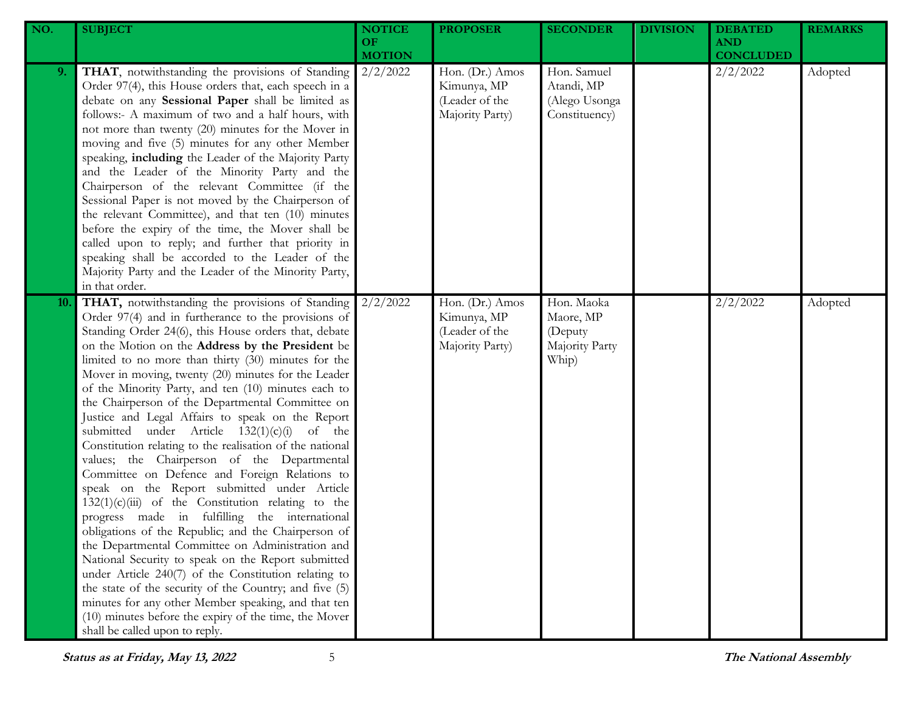| NO. | <b>SUBJECT</b>                                                                                                                                                                                                                                                                                                                                                                                                                                                                                                                                                                                                                                                                                                                                                                                                                                                                                                                                                                                                                                                                                                                                                                                                                                                                                             | <b>NOTICE</b><br><b>OF</b><br><b>MOTION</b> | <b>PROPOSER</b>                                                     | <b>SECONDER</b>                                               | <b>DIVISION</b> | <b>DEBATED</b><br><b>AND</b><br><b>CONCLUDED</b> | <b>REMARKS</b> |
|-----|------------------------------------------------------------------------------------------------------------------------------------------------------------------------------------------------------------------------------------------------------------------------------------------------------------------------------------------------------------------------------------------------------------------------------------------------------------------------------------------------------------------------------------------------------------------------------------------------------------------------------------------------------------------------------------------------------------------------------------------------------------------------------------------------------------------------------------------------------------------------------------------------------------------------------------------------------------------------------------------------------------------------------------------------------------------------------------------------------------------------------------------------------------------------------------------------------------------------------------------------------------------------------------------------------------|---------------------------------------------|---------------------------------------------------------------------|---------------------------------------------------------------|-----------------|--------------------------------------------------|----------------|
| 9.  | THAT, notwithstanding the provisions of Standing<br>Order 97(4), this House orders that, each speech in a<br>debate on any Sessional Paper shall be limited as<br>follows:- A maximum of two and a half hours, with<br>not more than twenty (20) minutes for the Mover in<br>moving and five (5) minutes for any other Member<br>speaking, including the Leader of the Majority Party<br>and the Leader of the Minority Party and the<br>Chairperson of the relevant Committee (if the<br>Sessional Paper is not moved by the Chairperson of<br>the relevant Committee), and that ten (10) minutes<br>before the expiry of the time, the Mover shall be<br>called upon to reply; and further that priority in<br>speaking shall be accorded to the Leader of the<br>Majority Party and the Leader of the Minority Party,<br>in that order.                                                                                                                                                                                                                                                                                                                                                                                                                                                                 | 2/2/2022                                    | Hon. (Dr.) Amos<br>Kimunya, MP<br>(Leader of the<br>Majority Party) | Hon. Samuel<br>Atandi, MP<br>(Alego Usonga<br>Constituency)   |                 | 2/2/2022                                         | Adopted        |
| 10. | THAT, notwithstanding the provisions of Standing<br>Order 97(4) and in furtherance to the provisions of<br>Standing Order 24(6), this House orders that, debate<br>on the Motion on the Address by the President be<br>limited to no more than thirty (30) minutes for the<br>Mover in moving, twenty (20) minutes for the Leader<br>of the Minority Party, and ten (10) minutes each to<br>the Chairperson of the Departmental Committee on<br>Justice and Legal Affairs to speak on the Report<br>submitted under Article $132(1)(c)(i)$ of the<br>Constitution relating to the realisation of the national<br>values; the Chairperson of the Departmental<br>Committee on Defence and Foreign Relations to<br>speak on the Report submitted under Article<br>$132(1)(c)(iii)$ of the Constitution relating to the<br>progress made in fulfilling the international<br>obligations of the Republic; and the Chairperson of<br>the Departmental Committee on Administration and<br>National Security to speak on the Report submitted<br>under Article 240(7) of the Constitution relating to<br>the state of the security of the Country; and five (5)<br>minutes for any other Member speaking, and that ten<br>(10) minutes before the expiry of the time, the Mover<br>shall be called upon to reply. | 2/2/2022                                    | Hon. (Dr.) Amos<br>Kimunya, MP<br>(Leader of the<br>Majority Party) | Hon. Maoka<br>Maore, MP<br>(Deputy<br>Majority Party<br>Whip) |                 | 2/2/2022                                         | Adopted        |

**Status as at Friday, May 13, <sup>2022</sup>** 5 **The National Assembly**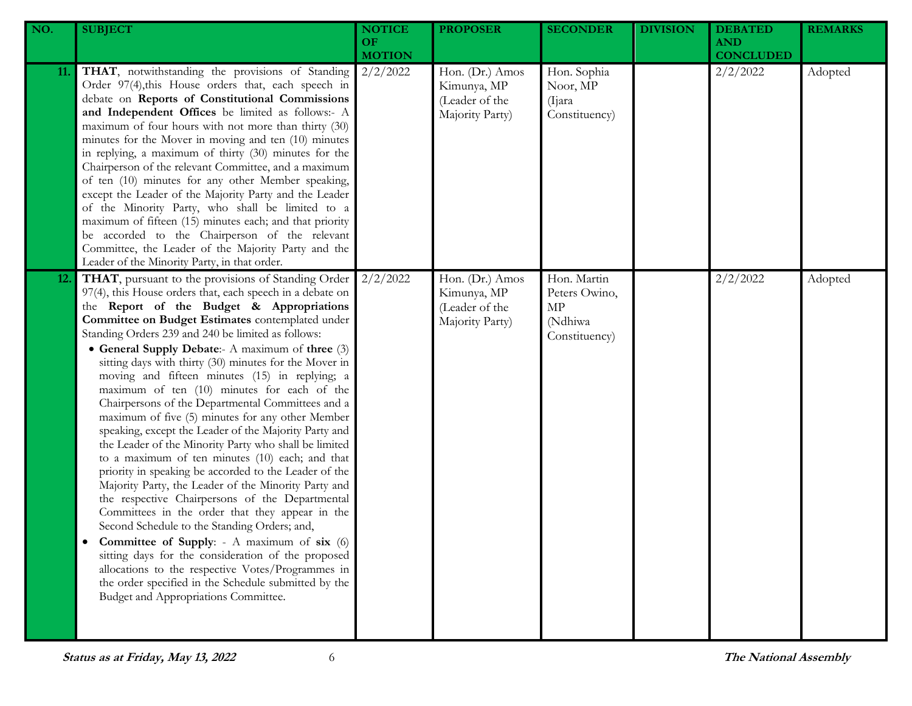| NO.        | <b>SUBJECT</b>                                                                                                                                                                                                                                                                                                                                                                                                                                                                                                                                                                                                                                                                                                                                                                                                                                                                                                                                                                                                                                                                                                                                                                                                                                                                                       | <b>NOTICE</b><br>OF.<br><b>MOTION</b> | <b>PROPOSER</b>                                                     | <b>SECONDER</b>                                                | <b>DIVISION</b> | <b>DEBATED</b><br><b>AND</b><br><b>CONCLUDED</b> | <b>REMARKS</b> |
|------------|------------------------------------------------------------------------------------------------------------------------------------------------------------------------------------------------------------------------------------------------------------------------------------------------------------------------------------------------------------------------------------------------------------------------------------------------------------------------------------------------------------------------------------------------------------------------------------------------------------------------------------------------------------------------------------------------------------------------------------------------------------------------------------------------------------------------------------------------------------------------------------------------------------------------------------------------------------------------------------------------------------------------------------------------------------------------------------------------------------------------------------------------------------------------------------------------------------------------------------------------------------------------------------------------------|---------------------------------------|---------------------------------------------------------------------|----------------------------------------------------------------|-----------------|--------------------------------------------------|----------------|
| 11.        | THAT, notwithstanding the provisions of Standing<br>Order 97(4), this House orders that, each speech in<br>debate on Reports of Constitutional Commissions<br>and Independent Offices be limited as follows:- A<br>maximum of four hours with not more than thirty (30)<br>minutes for the Mover in moving and ten (10) minutes<br>in replying, a maximum of thirty (30) minutes for the<br>Chairperson of the relevant Committee, and a maximum<br>of ten (10) minutes for any other Member speaking,<br>except the Leader of the Majority Party and the Leader<br>of the Minority Party, who shall be limited to a<br>maximum of fifteen (15) minutes each; and that priority<br>be accorded to the Chairperson of the relevant<br>Committee, the Leader of the Majority Party and the<br>Leader of the Minority Party, in that order.                                                                                                                                                                                                                                                                                                                                                                                                                                                             | 2/2/2022                              | Hon. (Dr.) Amos<br>Kimunya, MP<br>(Leader of the<br>Majority Party) | Hon. Sophia<br>Noor, MP<br>(Ijara)<br>Constituency)            |                 | 2/2/2022                                         | Adopted        |
| <b>12.</b> | THAT, pursuant to the provisions of Standing Order<br>97(4), this House orders that, each speech in a debate on<br>the Report of the Budget & Appropriations<br>Committee on Budget Estimates contemplated under<br>Standing Orders 239 and 240 be limited as follows:<br>• General Supply Debate:- A maximum of three (3)<br>sitting days with thirty (30) minutes for the Mover in<br>moving and fifteen minutes (15) in replying; a<br>maximum of ten (10) minutes for each of the<br>Chairpersons of the Departmental Committees and a<br>maximum of five (5) minutes for any other Member<br>speaking, except the Leader of the Majority Party and<br>the Leader of the Minority Party who shall be limited<br>to a maximum of ten minutes (10) each; and that<br>priority in speaking be accorded to the Leader of the<br>Majority Party, the Leader of the Minority Party and<br>the respective Chairpersons of the Departmental<br>Committees in the order that they appear in the<br>Second Schedule to the Standing Orders; and,<br>Committee of Supply: - A maximum of six (6)<br>sitting days for the consideration of the proposed<br>allocations to the respective Votes/Programmes in<br>the order specified in the Schedule submitted by the<br>Budget and Appropriations Committee. | 2/2/2022                              | Hon. (Dr.) Amos<br>Kimunya, MP<br>(Leader of the<br>Majority Party) | Hon. Martin<br>Peters Owino,<br>MP<br>(Ndhiwa<br>Constituency) |                 | 2/2/2022                                         | Adopted        |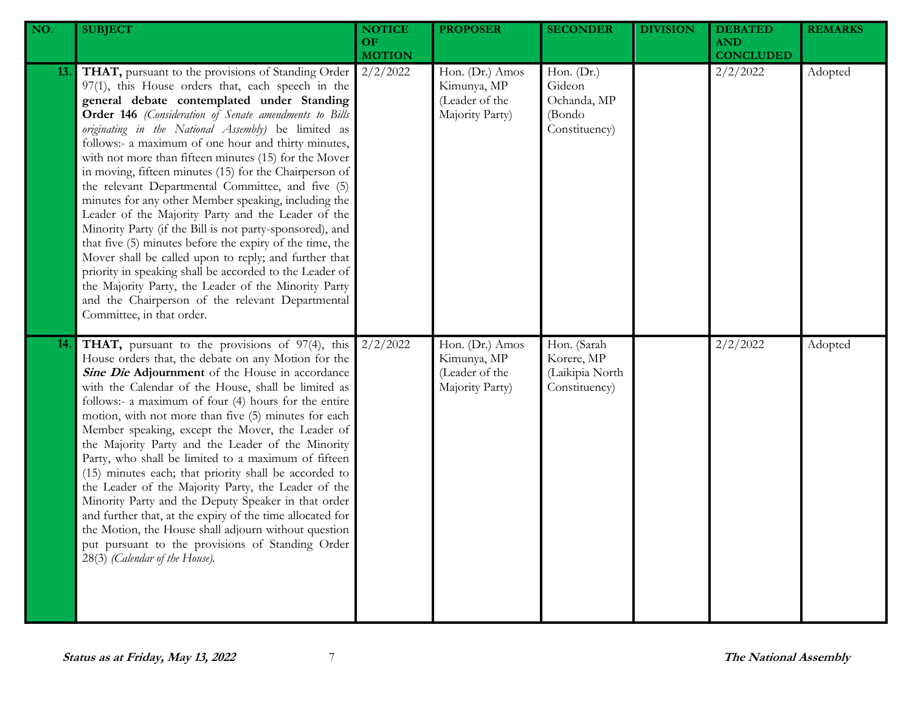| NO.  | <b>SUBJECT</b>                                                                                                                                                                                                                                                                                                                                                                                                                                                                                                                                                                                                                                                                                                                                                                                                                                                                                                                                                                                           | <b>NOTICE</b><br>OF<br><b>MOTION</b> | <b>PROPOSER</b>                                                     | <b>SECONDER</b>                                                | <b>DIVISION</b> | <b>DEBATED</b><br><b>AND</b><br><b>CONCLUDED</b> | <b>REMARKS</b> |
|------|----------------------------------------------------------------------------------------------------------------------------------------------------------------------------------------------------------------------------------------------------------------------------------------------------------------------------------------------------------------------------------------------------------------------------------------------------------------------------------------------------------------------------------------------------------------------------------------------------------------------------------------------------------------------------------------------------------------------------------------------------------------------------------------------------------------------------------------------------------------------------------------------------------------------------------------------------------------------------------------------------------|--------------------------------------|---------------------------------------------------------------------|----------------------------------------------------------------|-----------------|--------------------------------------------------|----------------|
| 13.  | THAT, pursuant to the provisions of Standing Order<br>97(1), this House orders that, each speech in the<br>general debate contemplated under Standing<br>Order 146 (Consideration of Senate amendments to Bills<br>originating in the National Assembly) be limited as<br>follows:- a maximum of one hour and thirty minutes,<br>with not more than fifteen minutes (15) for the Mover<br>in moving, fifteen minutes (15) for the Chairperson of<br>the relevant Departmental Committee, and five (5)<br>minutes for any other Member speaking, including the<br>Leader of the Majority Party and the Leader of the<br>Minority Party (if the Bill is not party-sponsored), and<br>that five (5) minutes before the expiry of the time, the<br>Mover shall be called upon to reply; and further that<br>priority in speaking shall be accorded to the Leader of<br>the Majority Party, the Leader of the Minority Party<br>and the Chairperson of the relevant Departmental<br>Committee, in that order. | 2/2/2022                             | Hon. (Dr.) Amos<br>Kimunya, MP<br>(Leader of the<br>Majority Party) | Hon. (Dr.)<br>Gideon<br>Ochanda, MP<br>(Bondo<br>Constituency) |                 | 2/2/2022                                         | Adopted        |
| 14.1 | THAT, pursuant to the provisions of 97(4), this<br>House orders that, the debate on any Motion for the<br>Sine Die Adjournment of the House in accordance<br>with the Calendar of the House, shall be limited as<br>follows:- a maximum of four (4) hours for the entire<br>motion, with not more than five (5) minutes for each<br>Member speaking, except the Mover, the Leader of<br>the Majority Party and the Leader of the Minority<br>Party, who shall be limited to a maximum of fifteen<br>(15) minutes each; that priority shall be accorded to<br>the Leader of the Majority Party, the Leader of the<br>Minority Party and the Deputy Speaker in that order<br>and further that, at the expiry of the time allocated for<br>the Motion, the House shall adjourn without question<br>put pursuant to the provisions of Standing Order<br>28(3) (Calendar of the House).                                                                                                                       | 2/2/2022                             | Hon. (Dr.) Amos<br>Kimunya, MP<br>(Leader of the<br>Majority Party) | Hon. (Sarah<br>Korere, MP<br>(Laikipia North<br>Constituency)  |                 | 2/2/2022                                         | Adopted        |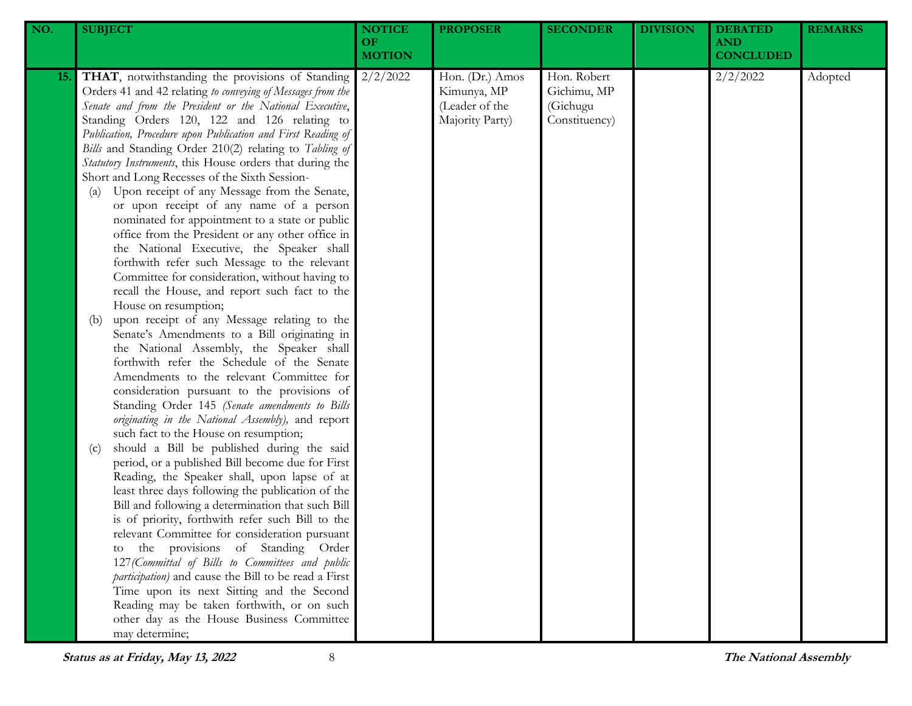| NO. | <b>SUBJECT</b>                                                                                                                                                                                                                                                                                                                                                                                                                                                                                                                                                                                                                                                                                                                                                                                                                                                                                                                                                                                                                                                                                                                                                                                                                                                                                                                                                                                                                                                                                                                                                                                                                                                                                                                                                                                                                                                                                                                                                                                                                          | <b>NOTICE</b><br><b>OF</b><br><b>MOTION</b> | <b>PROPOSER</b>                                                     | <b>SECONDER</b>                                         | <b>DIVISION</b> | <b>DEBATED</b><br><b>AND</b><br><b>CONCLUDED</b> | <b>REMARKS</b> |
|-----|-----------------------------------------------------------------------------------------------------------------------------------------------------------------------------------------------------------------------------------------------------------------------------------------------------------------------------------------------------------------------------------------------------------------------------------------------------------------------------------------------------------------------------------------------------------------------------------------------------------------------------------------------------------------------------------------------------------------------------------------------------------------------------------------------------------------------------------------------------------------------------------------------------------------------------------------------------------------------------------------------------------------------------------------------------------------------------------------------------------------------------------------------------------------------------------------------------------------------------------------------------------------------------------------------------------------------------------------------------------------------------------------------------------------------------------------------------------------------------------------------------------------------------------------------------------------------------------------------------------------------------------------------------------------------------------------------------------------------------------------------------------------------------------------------------------------------------------------------------------------------------------------------------------------------------------------------------------------------------------------------------------------------------------------|---------------------------------------------|---------------------------------------------------------------------|---------------------------------------------------------|-----------------|--------------------------------------------------|----------------|
| 15. | <b>THAT</b> , notwithstanding the provisions of Standing<br>Orders 41 and 42 relating to conveying of Messages from the<br>Senate and from the President or the National Executive,<br>Standing Orders 120, 122 and 126 relating to<br>Publication, Procedure upon Publication and First Reading of<br>Bills and Standing Order 210(2) relating to Tabling of<br>Statutory Instruments, this House orders that during the<br>Short and Long Recesses of the Sixth Session-<br>Upon receipt of any Message from the Senate,<br>(a)<br>or upon receipt of any name of a person<br>nominated for appointment to a state or public<br>office from the President or any other office in<br>the National Executive, the Speaker shall<br>forthwith refer such Message to the relevant<br>Committee for consideration, without having to<br>recall the House, and report such fact to the<br>House on resumption;<br>upon receipt of any Message relating to the<br>(b)<br>Senate's Amendments to a Bill originating in<br>the National Assembly, the Speaker shall<br>forthwith refer the Schedule of the Senate<br>Amendments to the relevant Committee for<br>consideration pursuant to the provisions of<br>Standing Order 145 (Senate amendments to Bills<br>originating in the National Assembly), and report<br>such fact to the House on resumption;<br>should a Bill be published during the said<br>(c)<br>period, or a published Bill become due for First<br>Reading, the Speaker shall, upon lapse of at<br>least three days following the publication of the<br>Bill and following a determination that such Bill<br>is of priority, forthwith refer such Bill to the<br>relevant Committee for consideration pursuant<br>the provisions of Standing Order<br>127 (Committal of Bills to Committees and public<br>participation) and cause the Bill to be read a First<br>Time upon its next Sitting and the Second<br>Reading may be taken forthwith, or on such<br>other day as the House Business Committee<br>may determine; | 2/2/2022                                    | Hon. (Dr.) Amos<br>Kimunya, MP<br>(Leader of the<br>Majority Party) | Hon. Robert<br>Gichimu, MP<br>(Gichugu<br>Constituency) |                 | 2/2/2022                                         | Adopted        |

**Status as at Friday, May 13, <sup>2022</sup>** 8 **The National Assembly**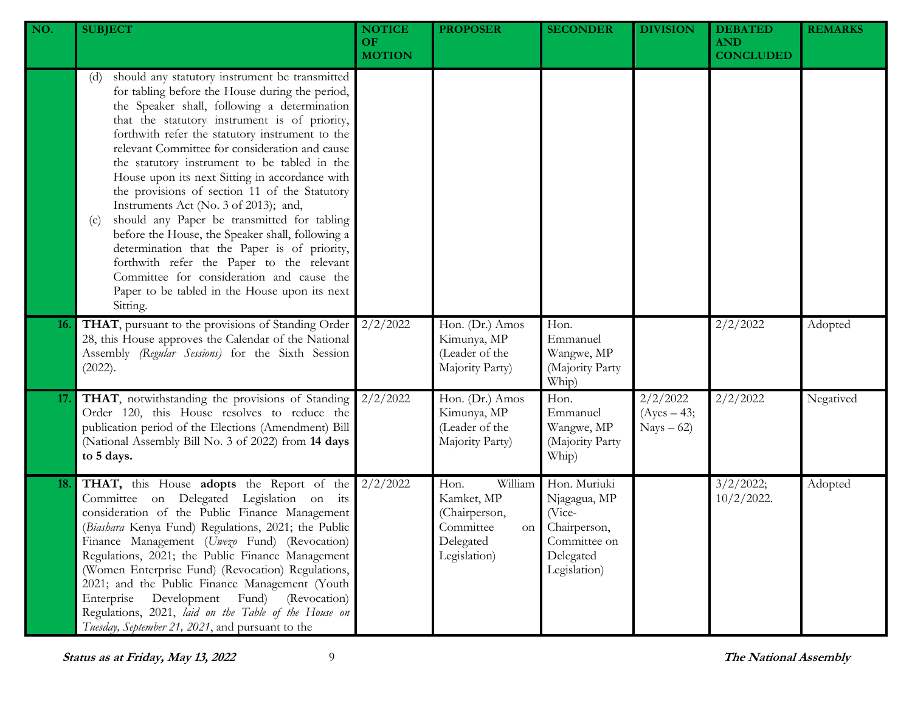| NO. | <b>SUBJECT</b>                                                                                                                                                                                                                                                                                                                                                                                                                                                                                                                                                                                                                                                                                                                                                                                                              | <b>NOTICE</b><br>OF<br><b>MOTION</b> | <b>PROPOSER</b>                                                                                | <b>SECONDER</b>                                                                                     | <b>DIVISION</b>                          | <b>DEBATED</b><br><b>AND</b><br><b>CONCLUDED</b> | <b>REMARKS</b> |
|-----|-----------------------------------------------------------------------------------------------------------------------------------------------------------------------------------------------------------------------------------------------------------------------------------------------------------------------------------------------------------------------------------------------------------------------------------------------------------------------------------------------------------------------------------------------------------------------------------------------------------------------------------------------------------------------------------------------------------------------------------------------------------------------------------------------------------------------------|--------------------------------------|------------------------------------------------------------------------------------------------|-----------------------------------------------------------------------------------------------------|------------------------------------------|--------------------------------------------------|----------------|
|     | should any statutory instrument be transmitted<br>(d)<br>for tabling before the House during the period,<br>the Speaker shall, following a determination<br>that the statutory instrument is of priority,<br>forthwith refer the statutory instrument to the<br>relevant Committee for consideration and cause<br>the statutory instrument to be tabled in the<br>House upon its next Sitting in accordance with<br>the provisions of section 11 of the Statutory<br>Instruments Act (No. 3 of 2013); and,<br>should any Paper be transmitted for tabling<br>(e)<br>before the House, the Speaker shall, following a<br>determination that the Paper is of priority,<br>forthwith refer the Paper to the relevant<br>Committee for consideration and cause the<br>Paper to be tabled in the House upon its next<br>Sitting. |                                      |                                                                                                |                                                                                                     |                                          |                                                  |                |
| 16. | THAT, pursuant to the provisions of Standing Order<br>28, this House approves the Calendar of the National<br>Assembly (Regular Sessions) for the Sixth Session<br>(2022).                                                                                                                                                                                                                                                                                                                                                                                                                                                                                                                                                                                                                                                  | 2/2/2022                             | Hon. (Dr.) Amos<br>Kimunya, MP<br>(Leader of the<br>Majority Party)                            | Hon.<br>Emmanuel<br>Wangwe, MP<br>(Majority Party<br>Whip)                                          |                                          | 2/2/2022                                         | Adopted        |
| 17. | THAT, notwithstanding the provisions of Standing<br>Order 120, this House resolves to reduce the<br>publication period of the Elections (Amendment) Bill<br>(National Assembly Bill No. 3 of 2022) from 14 days<br>to 5 days.                                                                                                                                                                                                                                                                                                                                                                                                                                                                                                                                                                                               | 2/2/2022                             | Hon. (Dr.) Amos<br>Kimunya, MP<br>(Leader of the<br>Majority Party)                            | Hon.<br>Emmanuel<br>Wangwe, MP<br>(Majority Party<br>Whip)                                          | 2/2/2022<br>$(Ayes - 43;$<br>$Nays - 62$ | 2/2/2022                                         | Negatived      |
| 18. | THAT, this House adopts the Report of the<br>Committee on Delegated Legislation on its<br>consideration of the Public Finance Management<br>(Biashara Kenya Fund) Regulations, 2021; the Public<br>Finance Management (Uwezo Fund) (Revocation)<br>Regulations, 2021; the Public Finance Management<br>(Women Enterprise Fund) (Revocation) Regulations,<br>2021; and the Public Finance Management (Youth<br>Development<br>Fund)<br>(Revocation)<br>Enterprise<br>Regulations, 2021, laid on the Table of the House on<br>Tuesday, September 21, 2021, and pursuant to the                                                                                                                                                                                                                                                | 2/2/2022                             | William<br>Hon.<br>Kamket, MP<br>(Chairperson,<br>Committee<br>on<br>Delegated<br>Legislation) | Hon. Muriuki<br>Njagagua, MP<br>(Vice-<br>Chairperson,<br>Committee on<br>Delegated<br>Legislation) |                                          | 3/2/2022;<br>$10/2/2022$ .                       | Adopted        |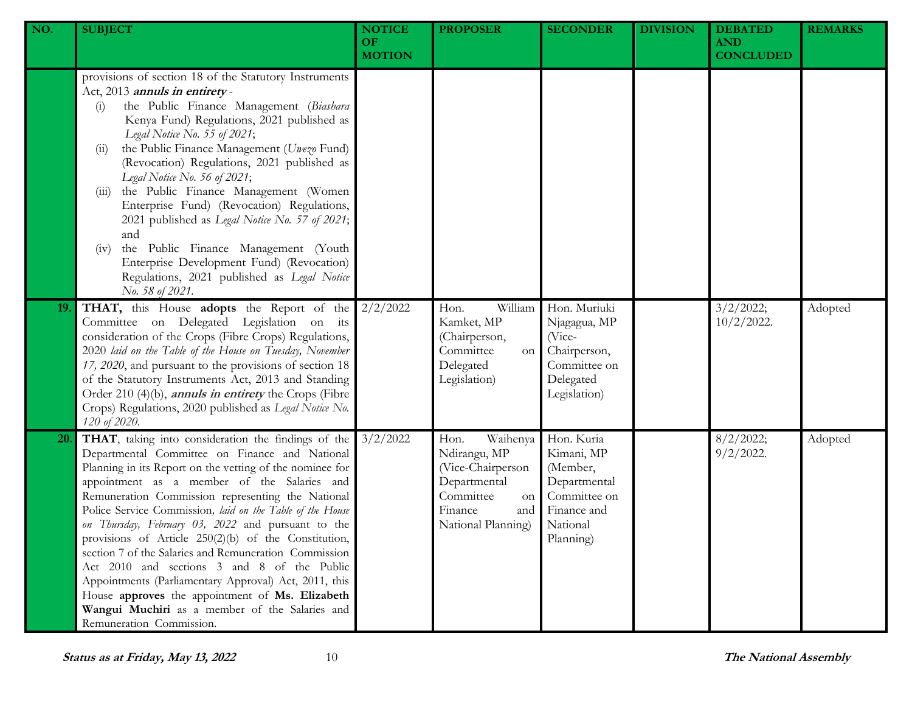| NO.       | <b>SUBJECT</b>                                                                                                                                                                                                                                                                                                                                                                                                                                                                                                                                                                                                                                                                                                                                     | <b>NOTICE</b><br><b>OF</b><br><b>MOTION</b> | <b>PROPOSER</b>                                                                                                                  | <b>SECONDER</b>                                                                                              | <b>DIVISION</b> | <b>DEBATED</b><br><b>AND</b><br><b>CONCLUDED</b> | <b>REMARKS</b> |
|-----------|----------------------------------------------------------------------------------------------------------------------------------------------------------------------------------------------------------------------------------------------------------------------------------------------------------------------------------------------------------------------------------------------------------------------------------------------------------------------------------------------------------------------------------------------------------------------------------------------------------------------------------------------------------------------------------------------------------------------------------------------------|---------------------------------------------|----------------------------------------------------------------------------------------------------------------------------------|--------------------------------------------------------------------------------------------------------------|-----------------|--------------------------------------------------|----------------|
|           | provisions of section 18 of the Statutory Instruments<br>Act, 2013 annuls in entirety-<br>the Public Finance Management (Biashara<br>(i)<br>Kenya Fund) Regulations, 2021 published as<br>Legal Notice No. 55 of 2021;<br>the Public Finance Management (Uwezo Fund)<br>(11)<br>(Revocation) Regulations, 2021 published as<br>Legal Notice No. 56 of 2021;<br>the Public Finance Management (Women<br>(111)<br>Enterprise Fund) (Revocation) Regulations,<br>2021 published as Legal Notice No. 57 of 2021;<br>and<br>the Public Finance Management (Youth<br>(v)<br>Enterprise Development Fund) (Revocation)<br>Regulations, 2021 published as Legal Notice<br>No. 58 of 2021.                                                                  |                                             |                                                                                                                                  |                                                                                                              |                 |                                                  |                |
| 19.       | <b>THAT,</b> this House <b>adopts</b> the Report of the $2/2/2022$<br>Committee on Delegated Legislation on its<br>consideration of the Crops (Fibre Crops) Regulations,<br>2020 laid on the Table of the House on Tuesday, November<br>17, 2020, and pursuant to the provisions of section 18<br>of the Statutory Instruments Act, 2013 and Standing<br>Order 210 (4)(b), <i>annuls in entirety</i> the Crops (Fibre<br>Crops) Regulations, 2020 published as Legal Notice No.<br>120 of 2020.                                                                                                                                                                                                                                                    |                                             | William<br>Hon.<br>Kamket, MP<br>(Chairperson,<br>Committee<br>on<br>Delegated<br>Legislation)                                   | Hon. Muriuki<br>Njagagua, MP<br>$($ Vice-<br>Chairperson,<br>Committee on<br>Delegated<br>Legislation)       |                 | 3/2/2022;<br>$10/2/2022$ .                       | Adopted        |
| <b>20</b> | THAT, taking into consideration the findings of the<br>Departmental Committee on Finance and National<br>Planning in its Report on the vetting of the nominee for<br>appointment as a member of the Salaries and<br>Remuneration Commission representing the National<br>Police Service Commission, laid on the Table of the House<br>on Thursday, February 03, 2022 and pursuant to the<br>provisions of Article 250(2)(b) of the Constitution,<br>section 7 of the Salaries and Remuneration Commission<br>Act 2010 and sections 3 and 8 of the Public<br>Appointments (Parliamentary Approval) Act, 2011, this<br>House approves the appointment of Ms. Elizabeth<br>Wangui Muchiri as a member of the Salaries and<br>Remuneration Commission. | 3/2/2022                                    | Hon.<br>Waihenya<br>Ndirangu, MP<br>(Vice-Chairperson<br>Departmental<br>Committee<br>on<br>Finance<br>and<br>National Planning) | Hon. Kuria<br>Kimani, MP<br>(Member,<br>Departmental<br>Committee on<br>Finance and<br>National<br>Planning) |                 | 8/2/2022;<br>$9/2/2022$ .                        | Adopted        |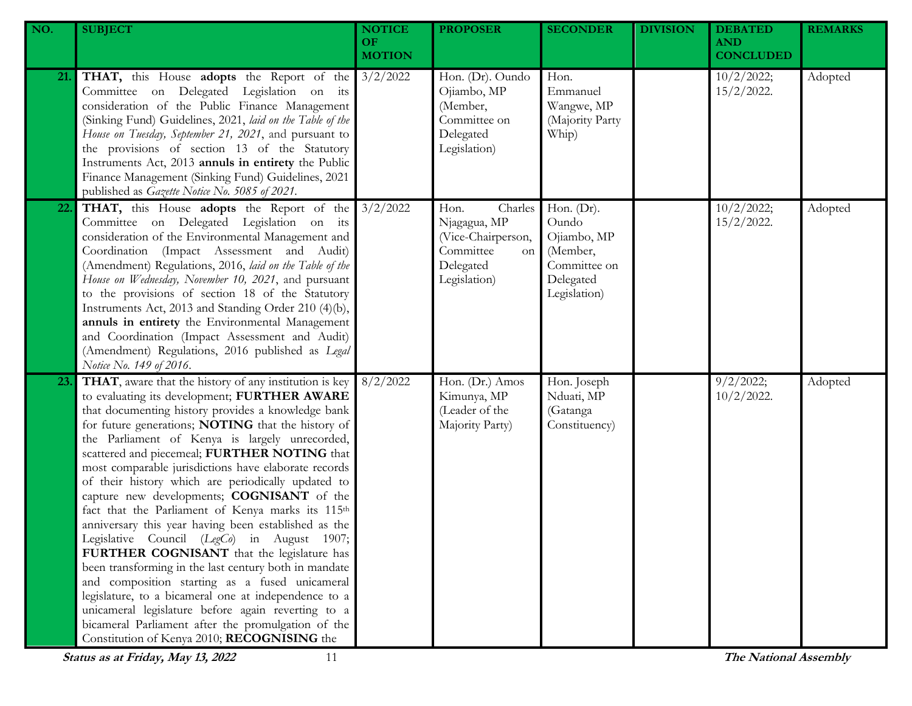| NO. | <b>SUBJECT</b>                                                                                                                                                                                                                                                                                                                                                                                                                                                                                                                                                                                                                                                                                                                                                                                                                                                                                                                                                                                                           | <b>NOTICE</b><br>OF.<br><b>MOTION</b> | <b>PROPOSER</b>                                                                                              | <b>SECONDER</b>                                                                                | <b>DIVISION</b> | <b>DEBATED</b><br><b>AND</b><br><b>CONCLUDED</b> | <b>REMARKS</b> |
|-----|--------------------------------------------------------------------------------------------------------------------------------------------------------------------------------------------------------------------------------------------------------------------------------------------------------------------------------------------------------------------------------------------------------------------------------------------------------------------------------------------------------------------------------------------------------------------------------------------------------------------------------------------------------------------------------------------------------------------------------------------------------------------------------------------------------------------------------------------------------------------------------------------------------------------------------------------------------------------------------------------------------------------------|---------------------------------------|--------------------------------------------------------------------------------------------------------------|------------------------------------------------------------------------------------------------|-----------------|--------------------------------------------------|----------------|
| 21. | <b>THAT,</b> this House <b>adopts</b> the Report of the 3/2/2022<br>Committee on Delegated Legislation on its<br>consideration of the Public Finance Management<br>(Sinking Fund) Guidelines, 2021, laid on the Table of the<br>House on Tuesday, September 21, 2021, and pursuant to<br>the provisions of section 13 of the Statutory<br>Instruments Act, 2013 annuls in entirety the Public<br>Finance Management (Sinking Fund) Guidelines, 2021<br>published as Gazette Notice No. 5085 of 2021.                                                                                                                                                                                                                                                                                                                                                                                                                                                                                                                     |                                       | Hon. (Dr). Oundo<br>Ojiambo, MP<br>(Member,<br>Committee on<br>Delegated<br>Legislation)                     | Hon.<br>Emmanuel<br>Wangwe, MP<br>(Majority Party<br>Whip)                                     |                 | 10/2/2022;<br>$15/2/2022$ .                      | Adopted        |
| 22. | <b>THAT,</b> this House <b>adopts</b> the Report of the 3/2/2022<br>Committee on Delegated Legislation on its<br>consideration of the Environmental Management and<br>Coordination (Impact Assessment and Audit)<br>(Amendment) Regulations, 2016, laid on the Table of the<br>House on Wednesday, November 10, 2021, and pursuant<br>to the provisions of section 18 of the Statutory<br>Instruments Act, 2013 and Standing Order 210 (4)(b),<br>annuls in entirety the Environmental Management<br>and Coordination (Impact Assessment and Audit)<br>(Amendment) Regulations, 2016 published as Legal<br>Notice No. 149 of 2016.                                                                                                                                                                                                                                                                                                                                                                                       |                                       | Charles<br>Hon.<br>Njagagua, MP<br>(Vice-Chairperson,<br>Committee<br><b>on</b><br>Delegated<br>Legislation) | Hon. $(Dr)$ .<br>Oundo<br>Ojiambo, MP<br>(Member,<br>Committee on<br>Delegated<br>Legislation) |                 | 10/2/2022;<br>$15/2/2022$ .                      | Adopted        |
| 23. | THAT, aware that the history of any institution is key<br>to evaluating its development; FURTHER AWARE<br>that documenting history provides a knowledge bank<br>for future generations; NOTING that the history of<br>the Parliament of Kenya is largely unrecorded,<br>scattered and piecemeal; FURTHER NOTING that<br>most comparable jurisdictions have elaborate records<br>of their history which are periodically updated to<br>capture new developments; COGNISANT of the<br>fact that the Parliament of Kenya marks its 115th<br>anniversary this year having been established as the<br>Legislative Council (LegCo) in August 1907;<br>FURTHER COGNISANT that the legislature has<br>been transforming in the last century both in mandate<br>and composition starting as a fused unicameral<br>legislature, to a bicameral one at independence to a<br>unicameral legislature before again reverting to a<br>bicameral Parliament after the promulgation of the<br>Constitution of Kenya 2010; RECOGNISING the | 8/2/2022                              | Hon. (Dr.) Amos<br>Kimunya, MP<br>(Leader of the<br>Majority Party)                                          | Hon. Joseph<br>Nduati, MP<br>(Gatanga<br>Constituency)                                         |                 | 9/2/2022;<br>$10/2/2022$ .                       | Adopted        |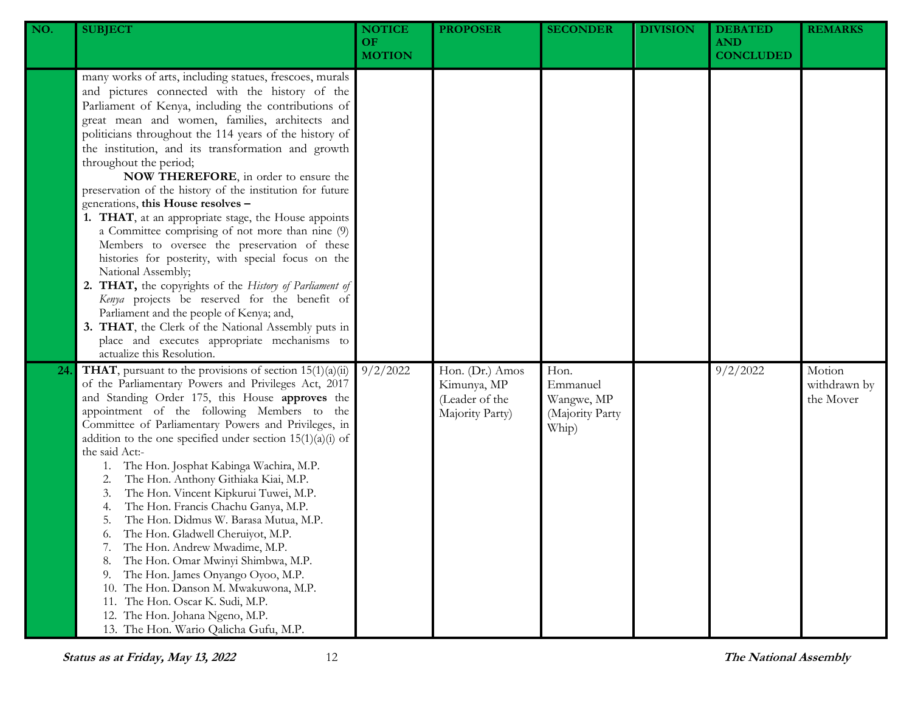| NO. | <b>SUBJECT</b>                                                                                                                                                                                                                                                                                                                                                                                                                                                                                                                                                                                                                                                                                                                                                                                                                                                                                                                                                                                                                                | <b>NOTICE</b><br>OF.<br><b>MOTION</b> | <b>PROPOSER</b>                                                     | <b>SECONDER</b>                                            | <b>DIVISION</b> | <b>DEBATED</b><br><b>AND</b><br><b>CONCLUDED</b> | <b>REMARKS</b>                      |
|-----|-----------------------------------------------------------------------------------------------------------------------------------------------------------------------------------------------------------------------------------------------------------------------------------------------------------------------------------------------------------------------------------------------------------------------------------------------------------------------------------------------------------------------------------------------------------------------------------------------------------------------------------------------------------------------------------------------------------------------------------------------------------------------------------------------------------------------------------------------------------------------------------------------------------------------------------------------------------------------------------------------------------------------------------------------|---------------------------------------|---------------------------------------------------------------------|------------------------------------------------------------|-----------------|--------------------------------------------------|-------------------------------------|
|     | many works of arts, including statues, frescoes, murals<br>and pictures connected with the history of the<br>Parliament of Kenya, including the contributions of<br>great mean and women, families, architects and<br>politicians throughout the 114 years of the history of<br>the institution, and its transformation and growth<br>throughout the period;<br>NOW THEREFORE, in order to ensure the<br>preservation of the history of the institution for future<br>generations, this House resolves -<br>1. THAT, at an appropriate stage, the House appoints<br>a Committee comprising of not more than nine (9)<br>Members to oversee the preservation of these<br>histories for posterity, with special focus on the<br>National Assembly;<br>2. THAT, the copyrights of the History of Parliament of<br>Kenya projects be reserved for the benefit of<br>Parliament and the people of Kenya; and,<br>3. THAT, the Clerk of the National Assembly puts in<br>place and executes appropriate mechanisms to<br>actualize this Resolution. |                                       |                                                                     |                                                            |                 |                                                  |                                     |
| 24  | <b>THAT</b> , pursuant to the provisions of section $15(1)(a)(ii)$<br>of the Parliamentary Powers and Privileges Act, 2017<br>and Standing Order 175, this House approves the<br>appointment of the following Members to the<br>Committee of Parliamentary Powers and Privileges, in<br>addition to the one specified under section $15(1)(a)(i)$ of<br>the said Act:-<br>The Hon. Josphat Kabinga Wachira, M.P.<br>1.<br>The Hon. Anthony Githiaka Kiai, M.P.<br>2.<br>The Hon. Vincent Kipkurui Tuwei, M.P.<br>3.<br>The Hon. Francis Chachu Ganya, M.P.<br>4.<br>The Hon. Didmus W. Barasa Mutua, M.P.<br>5.<br>The Hon. Gladwell Cheruiyot, M.P.<br>6.<br>The Hon. Andrew Mwadime, M.P.<br>7.<br>The Hon. Omar Mwinyi Shimbwa, M.P.<br>8.<br>The Hon. James Onyango Oyoo, M.P.<br>9.<br>The Hon. Danson M. Mwakuwona, M.P.<br>10.<br>The Hon. Oscar K. Sudi, M.P.<br>11.<br>12. The Hon. Johana Ngeno, M.P.<br>13. The Hon. Wario Qalicha Gufu, M.P.                                                                                      | 9/2/2022                              | Hon. (Dr.) Amos<br>Kimunya, MP<br>(Leader of the<br>Majority Party) | Hon.<br>Emmanuel<br>Wangwe, MP<br>(Majority Party<br>Whip) |                 | 9/2/2022                                         | Motion<br>withdrawn by<br>the Mover |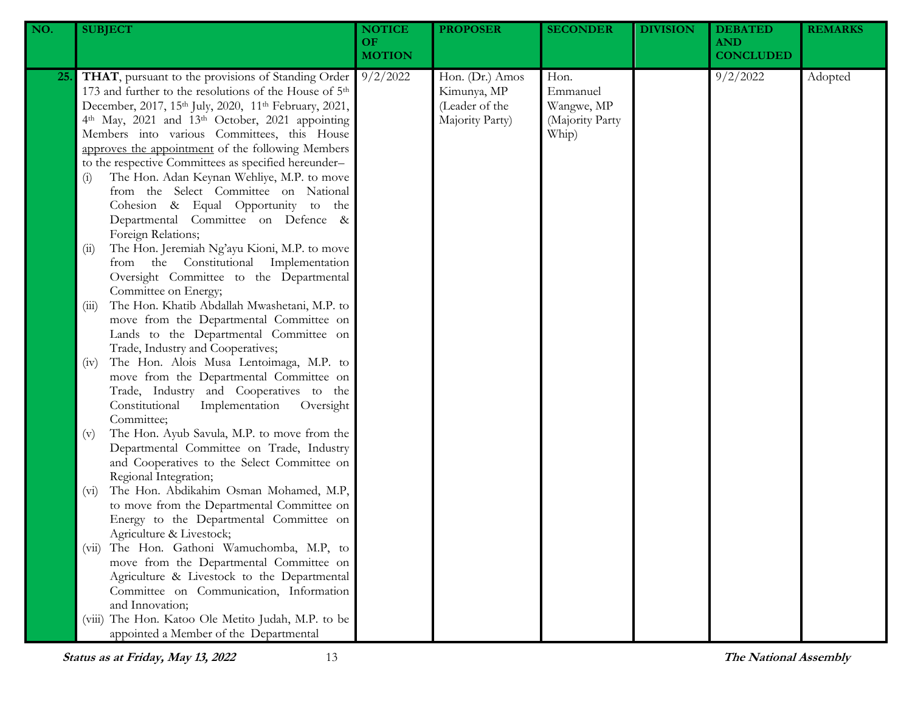| NO.        | <b>SUBJECT</b>                                                                                                                                                                                                                                                                                                                                                                                                                                                                                                                                                                                                                                                                                                                                                                                                                                                              | <b>NOTICE</b><br><b>OF</b><br><b>MOTION</b> | <b>PROPOSER</b>                                                     | <b>SECONDER</b>                                            | <b>DIVISION</b> | <b>DEBATED</b><br><b>AND</b><br><b>CONCLUDED</b> | <b>REMARKS</b> |
|------------|-----------------------------------------------------------------------------------------------------------------------------------------------------------------------------------------------------------------------------------------------------------------------------------------------------------------------------------------------------------------------------------------------------------------------------------------------------------------------------------------------------------------------------------------------------------------------------------------------------------------------------------------------------------------------------------------------------------------------------------------------------------------------------------------------------------------------------------------------------------------------------|---------------------------------------------|---------------------------------------------------------------------|------------------------------------------------------------|-----------------|--------------------------------------------------|----------------|
| <b>25.</b> | THAT, pursuant to the provisions of Standing Order<br>173 and further to the resolutions of the House of 5 <sup>th</sup><br>December, 2017, 15th July, 2020, 11th February, 2021,<br>4th May, 2021 and 13th October, 2021 appointing<br>Members into various Committees, this House<br>approves the appointment of the following Members<br>to the respective Committees as specified hereunder-<br>The Hon. Adan Keynan Wehliye, M.P. to move<br>(i)<br>from the Select Committee on National<br>Cohesion & Equal Opportunity to the<br>Departmental Committee on Defence &<br>Foreign Relations;<br>The Hon. Jeremiah Ng'ayu Kioni, M.P. to move<br>(ii)<br>from the Constitutional Implementation<br>Oversight Committee to the Departmental<br>Committee on Energy;<br>The Hon. Khatib Abdallah Mwashetani, M.P. to<br>(iii)<br>move from the Departmental Committee on | 9/2/2022                                    | Hon. (Dr.) Amos<br>Kimunya, MP<br>(Leader of the<br>Majority Party) | Hon.<br>Emmanuel<br>Wangwe, MP<br>(Majority Party<br>Whip) |                 | 9/2/2022                                         | Adopted        |
|            | Lands to the Departmental Committee on<br>Trade, Industry and Cooperatives;<br>The Hon. Alois Musa Lentoimaga, M.P. to<br>(iv)<br>move from the Departmental Committee on<br>Trade, Industry and Cooperatives to the<br>Constitutional<br>Implementation<br>Oversight<br>Committee;<br>The Hon. Ayub Savula, M.P. to move from the<br>(v)<br>Departmental Committee on Trade, Industry<br>and Cooperatives to the Select Committee on                                                                                                                                                                                                                                                                                                                                                                                                                                       |                                             |                                                                     |                                                            |                 |                                                  |                |
|            | Regional Integration;<br>The Hon. Abdikahim Osman Mohamed, M.P,<br>$(v_i)$<br>to move from the Departmental Committee on<br>Energy to the Departmental Committee on<br>Agriculture & Livestock;                                                                                                                                                                                                                                                                                                                                                                                                                                                                                                                                                                                                                                                                             |                                             |                                                                     |                                                            |                 |                                                  |                |
|            | The Hon. Gathoni Wamuchomba, M.P, to<br>(V11)<br>move from the Departmental Committee on<br>Agriculture & Livestock to the Departmental<br>Committee on Communication, Information<br>and Innovation;<br>The Hon. Katoo Ole Metito Judah, M.P. to be<br>(V111)<br>appointed a Member of the Departmental                                                                                                                                                                                                                                                                                                                                                                                                                                                                                                                                                                    |                                             |                                                                     |                                                            |                 |                                                  |                |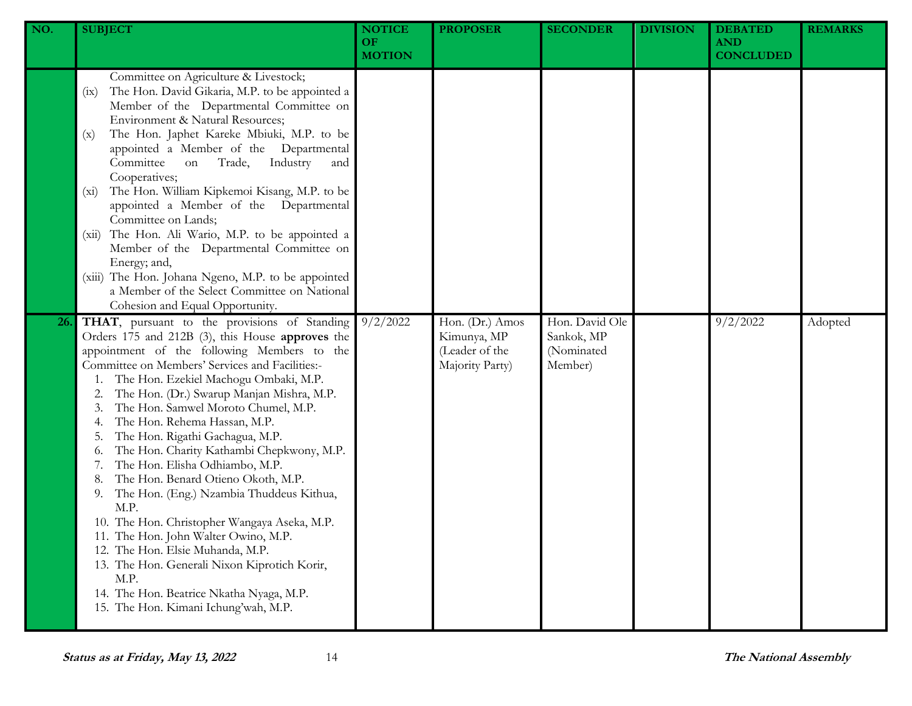| NO. | <b>SUBJECT</b>                                                                                                                                                                                                                                                                                                                                                                                                                                                                                                                                                                                                                                                                                                                                                                                                                                                  | <b>NOTICE</b><br><b>OF</b><br><b>MOTION</b> | <b>PROPOSER</b>                                                     | <b>SECONDER</b>                                       | <b>DIVISION</b> | <b>DEBATED</b><br><b>AND</b><br><b>CONCLUDED</b> | <b>REMARKS</b> |
|-----|-----------------------------------------------------------------------------------------------------------------------------------------------------------------------------------------------------------------------------------------------------------------------------------------------------------------------------------------------------------------------------------------------------------------------------------------------------------------------------------------------------------------------------------------------------------------------------------------------------------------------------------------------------------------------------------------------------------------------------------------------------------------------------------------------------------------------------------------------------------------|---------------------------------------------|---------------------------------------------------------------------|-------------------------------------------------------|-----------------|--------------------------------------------------|----------------|
|     | Committee on Agriculture & Livestock;<br>The Hon. David Gikaria, M.P. to be appointed a<br>(ix)<br>Member of the Departmental Committee on<br>Environment & Natural Resources;<br>The Hon. Japhet Kareke Mbiuki, M.P. to be<br>(x)<br>appointed a Member of the Departmental<br>Committee<br>Industry<br>Trade,<br>on<br>and<br>Cooperatives;<br>The Hon. William Kipkemoi Kisang, M.P. to be<br>$(x_i)$<br>appointed a Member of the Departmental<br>Committee on Lands;<br>The Hon. Ali Wario, M.P. to be appointed a<br>(xii)<br>Member of the Departmental Committee on<br>Energy; and,<br>(xiii) The Hon. Johana Ngeno, M.P. to be appointed<br>a Member of the Select Committee on National<br>Cohesion and Equal Opportunity.                                                                                                                            |                                             |                                                                     |                                                       |                 |                                                  |                |
| 26. | THAT, pursuant to the provisions of Standing<br>Orders 175 and 212B (3), this House approves the<br>appointment of the following Members to the<br>Committee on Members' Services and Facilities:-<br>The Hon. Ezekiel Machogu Ombaki, M.P.<br>The Hon. (Dr.) Swarup Manjan Mishra, M.P.<br>The Hon. Samwel Moroto Chumel, M.P.<br>The Hon. Rehema Hassan, M.P.<br>The Hon. Rigathi Gachagua, M.P.<br>The Hon. Charity Kathambi Chepkwony, M.P.<br>0.<br>The Hon. Elisha Odhiambo, M.P.<br>The Hon. Benard Otieno Okoth, M.P.<br>The Hon. (Eng.) Nzambia Thuddeus Kithua,<br>9.<br>M.P.<br>10. The Hon. Christopher Wangaya Aseka, M.P.<br>11. The Hon. John Walter Owino, M.P.<br>12. The Hon. Elsie Muhanda, M.P.<br>13. The Hon. Generali Nixon Kiprotich Korir,<br>M.P.<br>14. The Hon. Beatrice Nkatha Nyaga, M.P.<br>15. The Hon. Kimani Ichung'wah, M.P. | 9/2/2022                                    | Hon. (Dr.) Amos<br>Kimunya, MP<br>(Leader of the<br>Majority Party) | Hon. David Ole<br>Sankok, MP<br>(Nominated<br>Member) |                 | 9/2/2022                                         | Adopted        |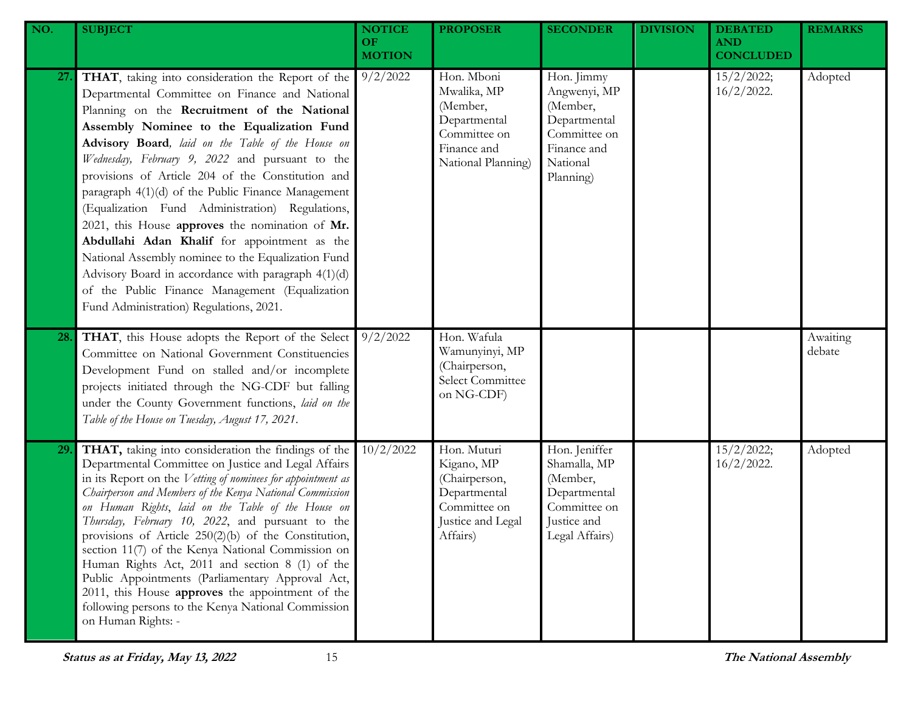| NO. | <b>SUBJECT</b>                                                                                                                                                                                                                                                                                                                                                                                                                                                                                                                                                                                                                                                                                                                                                                     | <b>NOTICE</b><br><b>OF</b><br><b>MOTION</b> | <b>PROPOSER</b>                                                                                             | <b>SECONDER</b>                                                                                                | <b>DIVISION</b> | <b>DEBATED</b><br><b>AND</b><br><b>CONCLUDED</b> | <b>REMARKS</b>     |
|-----|------------------------------------------------------------------------------------------------------------------------------------------------------------------------------------------------------------------------------------------------------------------------------------------------------------------------------------------------------------------------------------------------------------------------------------------------------------------------------------------------------------------------------------------------------------------------------------------------------------------------------------------------------------------------------------------------------------------------------------------------------------------------------------|---------------------------------------------|-------------------------------------------------------------------------------------------------------------|----------------------------------------------------------------------------------------------------------------|-----------------|--------------------------------------------------|--------------------|
| 27. | THAT, taking into consideration the Report of the<br>Departmental Committee on Finance and National<br>Planning on the Recruitment of the National<br>Assembly Nominee to the Equalization Fund<br>Advisory Board, laid on the Table of the House on<br>Wednesday, February 9, 2022 and pursuant to the<br>provisions of Article 204 of the Constitution and<br>paragraph 4(1)(d) of the Public Finance Management<br>(Equalization Fund Administration) Regulations,<br>2021, this House approves the nomination of Mr.<br>Abdullahi Adan Khalif for appointment as the<br>National Assembly nominee to the Equalization Fund<br>Advisory Board in accordance with paragraph 4(1)(d)<br>of the Public Finance Management (Equalization<br>Fund Administration) Regulations, 2021. | 9/2/2022                                    | Hon. Mboni<br>Mwalika, MP<br>(Member,<br>Departmental<br>Committee on<br>Finance and<br>National Planning)  | Hon. Jimmy<br>Angwenyi, MP<br>(Member,<br>Departmental<br>Committee on<br>Finance and<br>National<br>Planning) |                 | 15/2/2022;<br>$16/2/2022$ .                      | Adopted            |
| 28. | THAT, this House adopts the Report of the Select<br>Committee on National Government Constituencies<br>Development Fund on stalled and/or incomplete<br>projects initiated through the NG-CDF but falling<br>under the County Government functions, laid on the<br>Table of the House on Tuesday, August 17, 2021.                                                                                                                                                                                                                                                                                                                                                                                                                                                                 | 9/2/2022                                    | Hon. Wafula<br>Wamunyinyi, MP<br>(Chairperson,<br>Select Committee<br>on NG-CDF)                            |                                                                                                                |                 |                                                  | Awaiting<br>debate |
| 29. | THAT, taking into consideration the findings of the<br>Departmental Committee on Justice and Legal Affairs<br>in its Report on the Vetting of nominees for appointment as<br>Chairperson and Members of the Kenya National Commission<br>on Human Rights, laid on the Table of the House on<br>Thursday, February 10, 2022, and pursuant to the<br>provisions of Article $250(2)(b)$ of the Constitution,<br>section 11(7) of the Kenya National Commission on<br>Human Rights Act, 2011 and section 8 (1) of the<br>Public Appointments (Parliamentary Approval Act,<br>2011, this House approves the appointment of the<br>following persons to the Kenya National Commission<br>on Human Rights: -                                                                              | 10/2/2022                                   | Hon. Muturi<br>Kigano, MP<br>(Chairperson,<br>Departmental<br>Committee on<br>Justice and Legal<br>Affairs) | Hon. Jeniffer<br>Shamalla, MP<br>(Member,<br>Departmental<br>Committee on<br>Justice and<br>Legal Affairs)     |                 | 15/2/2022;<br>$16/2/2022$ .                      | Adopted            |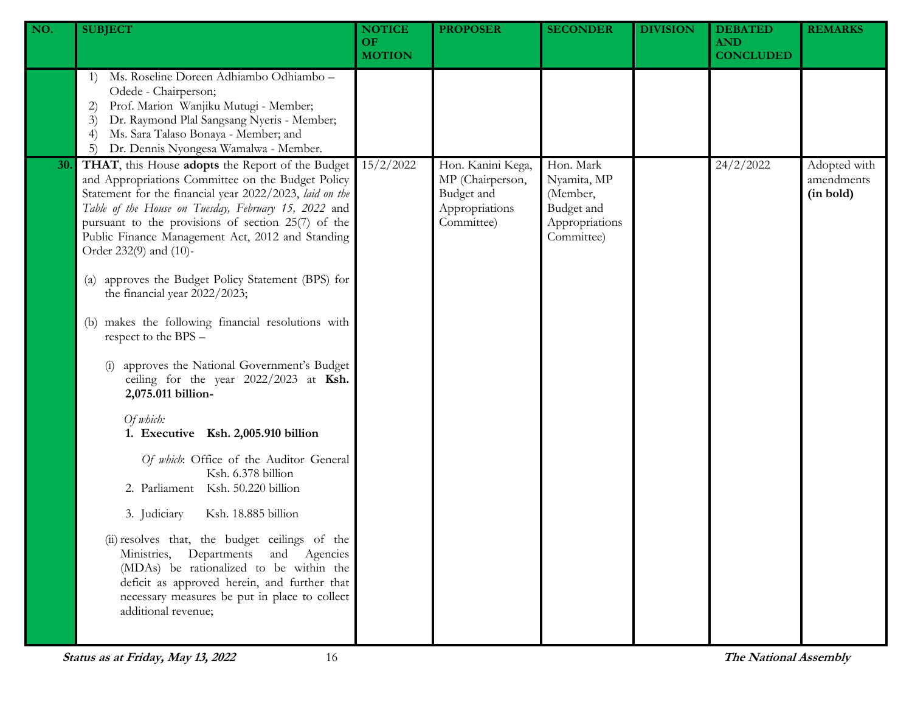| NO. | <b>SUBJECT</b>                                                                                                                                                                                                                                                                                                                                               | <b>NOTICE</b><br><b>OF</b><br><b>MOTION</b> | <b>PROPOSER</b>                                                                     | <b>SECONDER</b>                                                                    | <b>DIVISION</b> | <b>DEBATED</b><br><b>AND</b><br><b>CONCLUDED</b> | <b>REMARKS</b>                          |
|-----|--------------------------------------------------------------------------------------------------------------------------------------------------------------------------------------------------------------------------------------------------------------------------------------------------------------------------------------------------------------|---------------------------------------------|-------------------------------------------------------------------------------------|------------------------------------------------------------------------------------|-----------------|--------------------------------------------------|-----------------------------------------|
|     | Ms. Roseline Doreen Adhiambo Odhiambo -<br>1)<br>Odede - Chairperson;<br>Prof. Marion Wanjiku Mutugi - Member;<br>2)<br>Dr. Raymond Plal Sangsang Nyeris - Member;<br>3)<br>Ms. Sara Talaso Bonaya - Member; and<br>$\left(4\right)$<br>Dr. Dennis Nyongesa Wamalwa - Member.<br>5)                                                                          |                                             |                                                                                     |                                                                                    |                 |                                                  |                                         |
| 30. | THAT, this House adopts the Report of the Budget<br>and Appropriations Committee on the Budget Policy<br>Statement for the financial year 2022/2023, laid on the<br>Table of the House on Tuesday, February 15, 2022 and<br>pursuant to the provisions of section 25(7) of the<br>Public Finance Management Act, 2012 and Standing<br>Order 232(9) and (10)- | 15/2/2022                                   | Hon. Kanini Kega,<br>MP (Chairperson,<br>Budget and<br>Appropriations<br>Committee) | Hon. Mark<br>Nyamita, MP<br>(Member,<br>Budget and<br>Appropriations<br>Committee) |                 | 24/2/2022                                        | Adopted with<br>amendments<br>(in bold) |
|     | approves the Budget Policy Statement (BPS) for<br>$\left( a\right)$<br>the financial year 2022/2023;                                                                                                                                                                                                                                                         |                                             |                                                                                     |                                                                                    |                 |                                                  |                                         |
|     | makes the following financial resolutions with<br>(b)<br>respect to the BPS -                                                                                                                                                                                                                                                                                |                                             |                                                                                     |                                                                                    |                 |                                                  |                                         |
|     | approves the National Government's Budget<br>ceiling for the year 2022/2023 at Ksh.<br>2,075.011 billion-                                                                                                                                                                                                                                                    |                                             |                                                                                     |                                                                                    |                 |                                                  |                                         |
|     | Of which:<br>1. Executive Ksh. 2,005.910 billion                                                                                                                                                                                                                                                                                                             |                                             |                                                                                     |                                                                                    |                 |                                                  |                                         |
|     | Of which: Office of the Auditor General<br>Ksh. 6.378 billion<br>2. Parliament Ksh. 50.220 billion                                                                                                                                                                                                                                                           |                                             |                                                                                     |                                                                                    |                 |                                                  |                                         |
|     | 3. Judiciary<br>Ksh. 18.885 billion                                                                                                                                                                                                                                                                                                                          |                                             |                                                                                     |                                                                                    |                 |                                                  |                                         |
|     | (ii) resolves that, the budget ceilings of the<br>Ministries, Departments and Agencies<br>(MDAs) be rationalized to be within the<br>deficit as approved herein, and further that<br>necessary measures be put in place to collect<br>additional revenue;                                                                                                    |                                             |                                                                                     |                                                                                    |                 |                                                  |                                         |
|     |                                                                                                                                                                                                                                                                                                                                                              |                                             |                                                                                     |                                                                                    |                 |                                                  |                                         |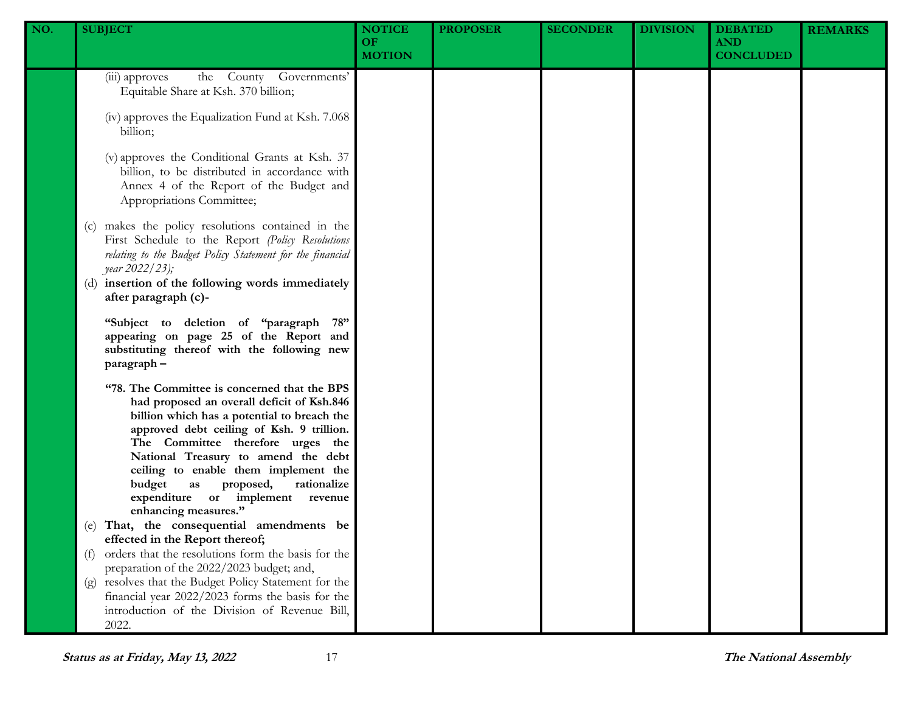| NO. | <b>SUBJECT</b>                                                                                                                                                                                                                                                                                                                                                                                                                                                                                                                                                                                                                                                                                                                                                                                    | <b>NOTICE</b><br><b>OF</b><br><b>MOTION</b> | <b>PROPOSER</b> | <b>SECONDER</b> | <b>DIVISION</b> | <b>DEBATED</b><br><b>AND</b><br><b>CONCLUDED</b> | <b>REMARKS</b> |
|-----|---------------------------------------------------------------------------------------------------------------------------------------------------------------------------------------------------------------------------------------------------------------------------------------------------------------------------------------------------------------------------------------------------------------------------------------------------------------------------------------------------------------------------------------------------------------------------------------------------------------------------------------------------------------------------------------------------------------------------------------------------------------------------------------------------|---------------------------------------------|-----------------|-----------------|-----------------|--------------------------------------------------|----------------|
|     | the County Governments'<br>(iii) approves<br>Equitable Share at Ksh. 370 billion;<br>(iv) approves the Equalization Fund at Ksh. 7.068<br>billion;<br>(v) approves the Conditional Grants at Ksh. 37<br>billion, to be distributed in accordance with<br>Annex 4 of the Report of the Budget and<br>Appropriations Committee;<br>(c) makes the policy resolutions contained in the<br>First Schedule to the Report (Policy Resolutions<br>relating to the Budget Policy Statement for the financial<br>year 2022/23);<br>(d) insertion of the following words immediately<br>after paragraph (c)-<br>"Subject to deletion of "paragraph 78"<br>appearing on page 25 of the Report and<br>substituting thereof with the following new                                                              |                                             |                 |                 |                 |                                                  |                |
|     | paragraph-<br>"78. The Committee is concerned that the BPS<br>had proposed an overall deficit of Ksh.846<br>billion which has a potential to breach the<br>approved debt ceiling of Ksh. 9 trillion.<br>The Committee therefore urges the<br>National Treasury to amend the debt<br>ceiling to enable them implement the<br>budget<br>rationalize<br>as<br>proposed,<br>expenditure or implement revenue<br>enhancing measures."<br>(e) That, the consequential amendments be<br>effected in the Report thereof;<br>orders that the resolutions form the basis for the<br>(f)<br>preparation of the 2022/2023 budget; and,<br>(g) resolves that the Budget Policy Statement for the<br>financial year 2022/2023 forms the basis for the<br>introduction of the Division of Revenue Bill,<br>2022. |                                             |                 |                 |                 |                                                  |                |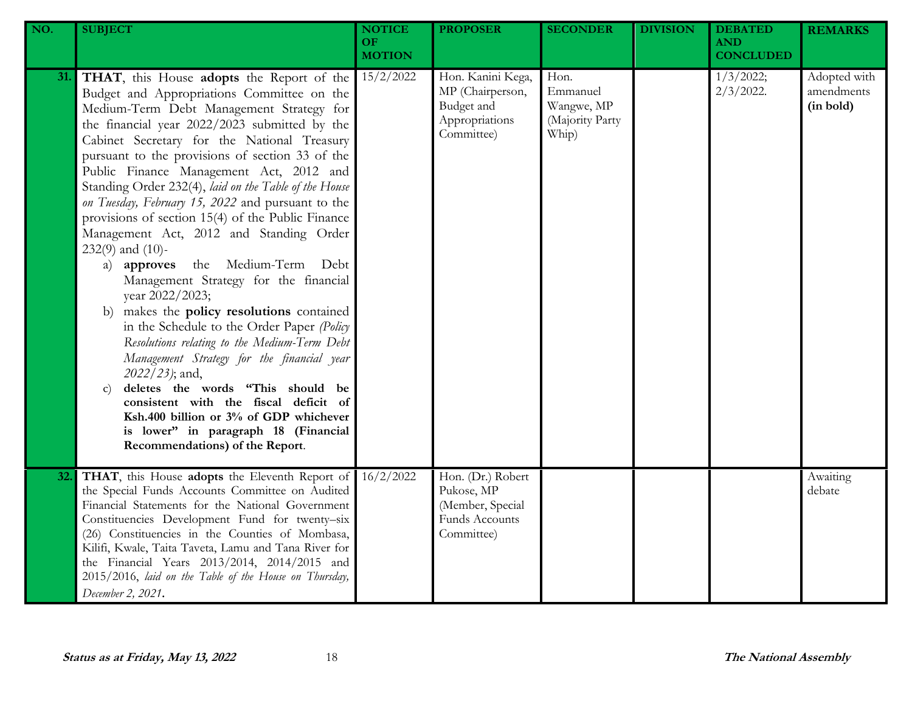| NO. | <b>SUBJECT</b>                                                                                                                                                                                                                                                                                                                                                                                                                                                                                                                                                                                                                                                                                                                                                                                                                                                                                                                                                                                                                                                                                               | <b>NOTICE</b><br>OF.<br><b>MOTION</b> | <b>PROPOSER</b>                                                                            | <b>SECONDER</b>                                            | <b>DIVISION</b> | <b>DEBATED</b><br><b>AND</b><br><b>CONCLUDED</b> | <b>REMARKS</b>                          |
|-----|--------------------------------------------------------------------------------------------------------------------------------------------------------------------------------------------------------------------------------------------------------------------------------------------------------------------------------------------------------------------------------------------------------------------------------------------------------------------------------------------------------------------------------------------------------------------------------------------------------------------------------------------------------------------------------------------------------------------------------------------------------------------------------------------------------------------------------------------------------------------------------------------------------------------------------------------------------------------------------------------------------------------------------------------------------------------------------------------------------------|---------------------------------------|--------------------------------------------------------------------------------------------|------------------------------------------------------------|-----------------|--------------------------------------------------|-----------------------------------------|
| 31. | THAT, this House adopts the Report of the<br>Budget and Appropriations Committee on the<br>Medium-Term Debt Management Strategy for<br>the financial year 2022/2023 submitted by the<br>Cabinet Secretary for the National Treasury<br>pursuant to the provisions of section 33 of the<br>Public Finance Management Act, 2012 and<br>Standing Order 232(4), laid on the Table of the House<br>on Tuesday, February 15, 2022 and pursuant to the<br>provisions of section 15(4) of the Public Finance<br>Management Act, 2012 and Standing Order<br>$232(9)$ and $(10)$ -<br>the Medium-Term Debt<br>a) approves<br>Management Strategy for the financial<br>year 2022/2023;<br>makes the policy resolutions contained<br>b)<br>in the Schedule to the Order Paper (Policy<br>Resolutions relating to the Medium-Term Debt<br>Management Strategy for the financial year<br>2022/23); and,<br>deletes the words "This should be<br>$\mathbf{C}$<br>consistent with the fiscal deficit of<br>Ksh.400 billion or 3% of GDP whichever<br>is lower" in paragraph 18 (Financial<br>Recommendations) of the Report. | 15/2/2022                             | Hon. Kanini Kega,<br>MP (Chairperson,<br>Budget and<br>Appropriations<br>Committee)        | Hon.<br>Emmanuel<br>Wangwe, MP<br>(Majority Party<br>Whip) |                 | 1/3/2022;<br>$2/3/2022$ .                        | Adopted with<br>amendments<br>(in bold) |
| 32. | THAT, this House adopts the Eleventh Report of<br>the Special Funds Accounts Committee on Audited<br>Financial Statements for the National Government<br>Constituencies Development Fund for twenty-six<br>(26) Constituencies in the Counties of Mombasa,<br>Kilifi, Kwale, Taita Taveta, Lamu and Tana River for<br>the Financial Years 2013/2014, 2014/2015 and<br>2015/2016, laid on the Table of the House on Thursday,<br>December 2, 2021.                                                                                                                                                                                                                                                                                                                                                                                                                                                                                                                                                                                                                                                            | 16/2/2022                             | Hon. (Dr.) Robert<br>Pukose, MP<br>(Member, Special<br><b>Funds Accounts</b><br>Committee) |                                                            |                 |                                                  | Awaiting<br>debate                      |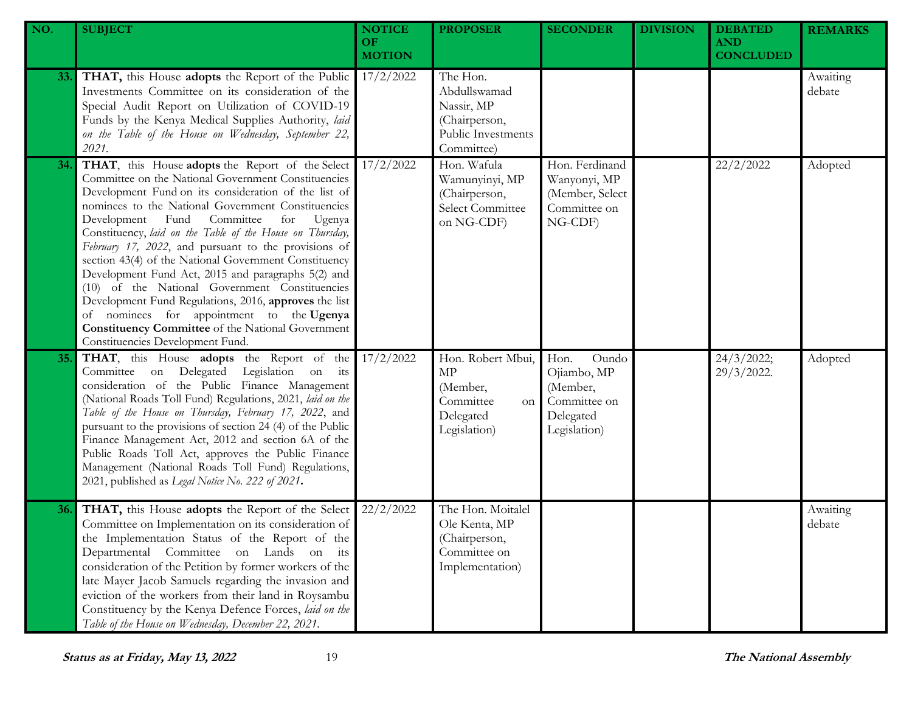| NO.        | <b>SUBJECT</b>                                                                                                                                                                                                                                                                                                                                                                                                                                                                                                                                                                                                                                                                                                                                                   | <b>NOTICE</b><br><b>OF</b><br><b>MOTION</b> | <b>PROPOSER</b>                                                                             | <b>SECONDER</b>                                                                       | <b>DIVISION</b> | <b>DEBATED</b><br><b>AND</b><br><b>CONCLUDED</b> | <b>REMARKS</b>     |
|------------|------------------------------------------------------------------------------------------------------------------------------------------------------------------------------------------------------------------------------------------------------------------------------------------------------------------------------------------------------------------------------------------------------------------------------------------------------------------------------------------------------------------------------------------------------------------------------------------------------------------------------------------------------------------------------------------------------------------------------------------------------------------|---------------------------------------------|---------------------------------------------------------------------------------------------|---------------------------------------------------------------------------------------|-----------------|--------------------------------------------------|--------------------|
| <b>33.</b> | THAT, this House adopts the Report of the Public<br>Investments Committee on its consideration of the<br>Special Audit Report on Utilization of COVID-19<br>Funds by the Kenya Medical Supplies Authority, laid<br>on the Table of the House on Wednesday, September 22,<br>2021.                                                                                                                                                                                                                                                                                                                                                                                                                                                                                | 17/2/2022                                   | The Hon.<br>Abdullswamad<br>Nassir, MP<br>(Chairperson,<br>Public Investments<br>Committee) |                                                                                       |                 |                                                  | Awaiting<br>debate |
| 34.        | THAT, this House adopts the Report of the Select<br>Committee on the National Government Constituencies<br>Development Fund on its consideration of the list of<br>nominees to the National Government Constituencies<br>Development Fund Committee<br>for<br>Ugenya<br>Constituency, laid on the Table of the House on Thursday,<br>February 17, 2022, and pursuant to the provisions of<br>section 43(4) of the National Government Constituency<br>Development Fund Act, 2015 and paragraphs 5(2) and<br>(10) of the National Government Constituencies<br>Development Fund Regulations, 2016, approves the list<br>of nominees for appointment to the Ugenya<br><b>Constituency Committee</b> of the National Government<br>Constituencies Development Fund. | 17/2/2022                                   | Hon. Wafula<br>Wamunyinyi, MP<br>(Chairperson,<br>Select Committee<br>on NG-CDF)            | Hon. Ferdinand<br>Wanyonyi, MP<br>(Member, Select<br>Committee on<br>NG-CDF)          |                 | 22/2/2022                                        | Adopted            |
| 35.        | THAT, this House adopts the Report of the<br>Committee on Delegated Legislation on its<br>consideration of the Public Finance Management<br>(National Roads Toll Fund) Regulations, 2021, laid on the<br>Table of the House on Thursday, February 17, 2022, and<br>pursuant to the provisions of section 24 (4) of the Public<br>Finance Management Act, 2012 and section 6A of the<br>Public Roads Toll Act, approves the Public Finance<br>Management (National Roads Toll Fund) Regulations,<br>2021, published as Legal Notice No. 222 of 2021.                                                                                                                                                                                                              | 17/2/2022                                   | Hon. Robert Mbui,<br>MP<br>(Member,<br>Committee<br>on<br>Delegated<br>Legislation)         | Hon.<br>Oundo<br>Ojiambo, MP<br>(Member,<br>Committee on<br>Delegated<br>Legislation) |                 | 24/3/2022;<br>29/3/2022.                         | Adopted            |
| 36.        | THAT, this House adopts the Report of the Select<br>Committee on Implementation on its consideration of<br>the Implementation Status of the Report of the<br>Departmental Committee on Lands on its<br>consideration of the Petition by former workers of the<br>late Mayer Jacob Samuels regarding the invasion and<br>eviction of the workers from their land in Roysambu<br>Constituency by the Kenya Defence Forces, laid on the<br>Table of the House on Wednesday, December 22, 2021.                                                                                                                                                                                                                                                                      | 22/2/2022                                   | The Hon. Moitalel<br>Ole Kenta, MP<br>(Chairperson,<br>Committee on<br>Implementation)      |                                                                                       |                 |                                                  | Awaiting<br>debate |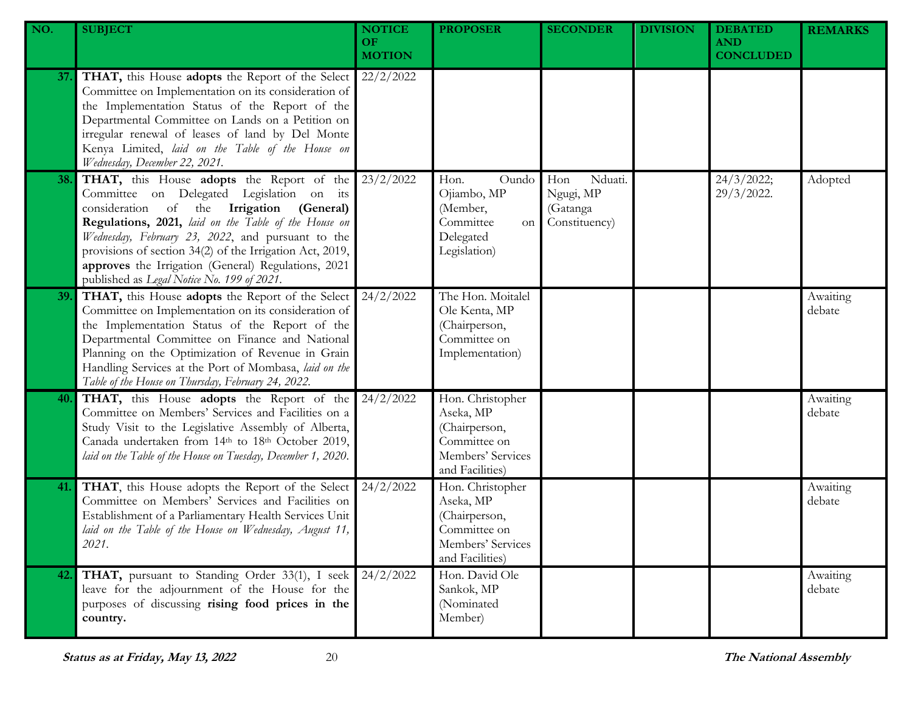| NO. | <b>SUBJECT</b>                                                                                                                                                                                                                                                                                                                                                                                                    | <b>NOTICE</b><br>OF.<br><b>MOTION</b> | <b>PROPOSER</b>                                                                                        | <b>SECONDER</b>                                          | <b>DIVISION</b> | <b>DEBATED</b><br><b>AND</b><br><b>CONCLUDED</b> | <b>REMARKS</b>     |
|-----|-------------------------------------------------------------------------------------------------------------------------------------------------------------------------------------------------------------------------------------------------------------------------------------------------------------------------------------------------------------------------------------------------------------------|---------------------------------------|--------------------------------------------------------------------------------------------------------|----------------------------------------------------------|-----------------|--------------------------------------------------|--------------------|
| 37. | THAT, this House adopts the Report of the Select<br>Committee on Implementation on its consideration of<br>the Implementation Status of the Report of the<br>Departmental Committee on Lands on a Petition on<br>irregular renewal of leases of land by Del Monte<br>Kenya Limited, laid on the Table of the House on<br>Wednesday, December 22, 2021.                                                            | 22/2/2022                             |                                                                                                        |                                                          |                 |                                                  |                    |
| 38. | THAT, this House adopts the Report of the<br>Committee on Delegated Legislation on its<br>consideration of the Irrigation (General)<br>Regulations, 2021, laid on the Table of the House on<br>Wednesday, February 23, 2022, and pursuant to the<br>provisions of section 34(2) of the Irrigation Act, 2019,<br>approves the Irrigation (General) Regulations, 2021<br>published as Legal Notice No. 199 of 2021. | 23/2/2022                             | Oundo<br>Hon.<br>Ojiambo, MP<br>(Member,<br>Committee<br>on<br>Delegated<br>Legislation)               | Nduati.<br>Hon<br>Ngugi, MP<br>(Gatanga<br>Constituency) |                 | 24/3/2022;<br>29/3/2022.                         | Adopted            |
| 39. | THAT, this House adopts the Report of the Select<br>Committee on Implementation on its consideration of<br>the Implementation Status of the Report of the<br>Departmental Committee on Finance and National<br>Planning on the Optimization of Revenue in Grain<br>Handling Services at the Port of Mombasa, laid on the<br>Table of the House on Thursday, February 24, 2022.                                    | 24/2/2022                             | The Hon. Moitalel<br>Ole Kenta, MP<br>(Chairperson,<br>Committee on<br>Implementation)                 |                                                          |                 |                                                  | Awaiting<br>debate |
| 40. | THAT, this House adopts the Report of the<br>Committee on Members' Services and Facilities on a<br>Study Visit to the Legislative Assembly of Alberta,<br>Canada undertaken from 14th to 18th October 2019,<br>laid on the Table of the House on Tuesday, December 1, 2020.                                                                                                                                       | 24/2/2022                             | Hon. Christopher<br>Aseka, MP<br>(Chairperson,<br>Committee on<br>Members' Services<br>and Facilities) |                                                          |                 |                                                  | Awaiting<br>debate |
| 41. | THAT, this House adopts the Report of the Select<br>Committee on Members' Services and Facilities on<br>Establishment of a Parliamentary Health Services Unit<br>laid on the Table of the House on Wednesday, August 11,<br>2021.                                                                                                                                                                                 | 24/2/2022                             | Hon. Christopher<br>Aseka, MP<br>(Chairperson,<br>Committee on<br>Members' Services<br>and Facilities) |                                                          |                 |                                                  | Awaiting<br>debate |
|     | THAT, pursuant to Standing Order 33(1), I seek<br>leave for the adjournment of the House for the<br>purposes of discussing rising food prices in the<br>country.                                                                                                                                                                                                                                                  | 24/2/2022                             | Hon. David Ole<br>Sankok, MP<br>(Nominated<br>Member)                                                  |                                                          |                 |                                                  | Awaiting<br>debate |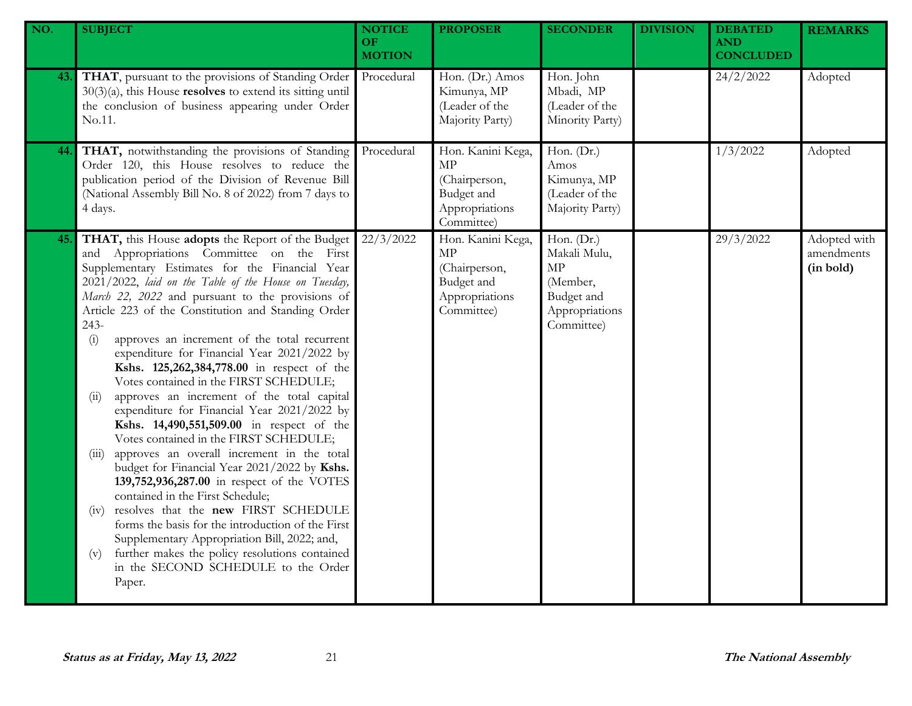| NO. | <b>SUBJECT</b>                                                                                                                                                                                                                                                                                                                                                                                                                                                                                                                                                                                                                                                                                                                                                                                                                                                                                                                                                                                                                                                                                                                                                               | <b>NOTICE</b><br><b>OF</b><br><b>MOTION</b> | <b>PROPOSER</b>                                                                               | <b>SECONDER</b>                                                                            | <b>DIVISION</b> | <b>DEBATED</b><br><b>AND</b><br><b>CONCLUDED</b> | <b>REMARKS</b>                          |
|-----|------------------------------------------------------------------------------------------------------------------------------------------------------------------------------------------------------------------------------------------------------------------------------------------------------------------------------------------------------------------------------------------------------------------------------------------------------------------------------------------------------------------------------------------------------------------------------------------------------------------------------------------------------------------------------------------------------------------------------------------------------------------------------------------------------------------------------------------------------------------------------------------------------------------------------------------------------------------------------------------------------------------------------------------------------------------------------------------------------------------------------------------------------------------------------|---------------------------------------------|-----------------------------------------------------------------------------------------------|--------------------------------------------------------------------------------------------|-----------------|--------------------------------------------------|-----------------------------------------|
| 43. | THAT, pursuant to the provisions of Standing Order<br>$30(3)(a)$ , this House resolves to extend its sitting until<br>the conclusion of business appearing under Order<br>No.11.                                                                                                                                                                                                                                                                                                                                                                                                                                                                                                                                                                                                                                                                                                                                                                                                                                                                                                                                                                                             | Procedural                                  | Hon. (Dr.) Amos<br>Kimunya, MP<br>(Leader of the<br>Majority Party)                           | Hon. John<br>Mbadi, MP<br>(Leader of the<br>Minority Party)                                |                 | 24/2/2022                                        | Adopted                                 |
| 44. | THAT, notwithstanding the provisions of Standing<br>Order 120, this House resolves to reduce the<br>publication period of the Division of Revenue Bill<br>(National Assembly Bill No. 8 of 2022) from 7 days to<br>4 days.                                                                                                                                                                                                                                                                                                                                                                                                                                                                                                                                                                                                                                                                                                                                                                                                                                                                                                                                                   | Procedural                                  | Hon. Kanini Kega,<br><b>MP</b><br>(Chairperson,<br>Budget and<br>Appropriations<br>Committee) | Hon. $(Dr.)$<br>Amos<br>Kimunya, MP<br>(Leader of the<br>Majority Party)                   |                 | 1/3/2022                                         | Adopted                                 |
| 45. | THAT, this House adopts the Report of the Budget<br>and Appropriations Committee on the First<br>Supplementary Estimates for the Financial Year<br>2021/2022, laid on the Table of the House on Tuesday,<br>March 22, 2022 and pursuant to the provisions of<br>Article 223 of the Constitution and Standing Order<br>243-<br>approves an increment of the total recurrent<br>(i)<br>expenditure for Financial Year 2021/2022 by<br>Kshs. 125,262,384,778.00 in respect of the<br>Votes contained in the FIRST SCHEDULE;<br>approves an increment of the total capital<br>(ii)<br>expenditure for Financial Year 2021/2022 by<br>Kshs. 14,490,551,509.00 in respect of the<br>Votes contained in the FIRST SCHEDULE;<br>approves an overall increment in the total<br>(iii)<br>budget for Financial Year 2021/2022 by Kshs.<br>139,752,936,287.00 in respect of the VOTES<br>contained in the First Schedule;<br>resolves that the new FIRST SCHEDULE<br>(1V)<br>forms the basis for the introduction of the First<br>Supplementary Appropriation Bill, 2022; and,<br>further makes the policy resolutions contained<br>(v)<br>in the SECOND SCHEDULE to the Order<br>Paper. | 22/3/2022                                   | Hon. Kanini Kega,<br>MP<br>(Chairperson,<br>Budget and<br>Appropriations<br>Committee)        | Hon. (Dr.)<br>Makali Mulu,<br>MP<br>(Member,<br>Budget and<br>Appropriations<br>Committee) |                 | 29/3/2022                                        | Adopted with<br>amendments<br>(in bold) |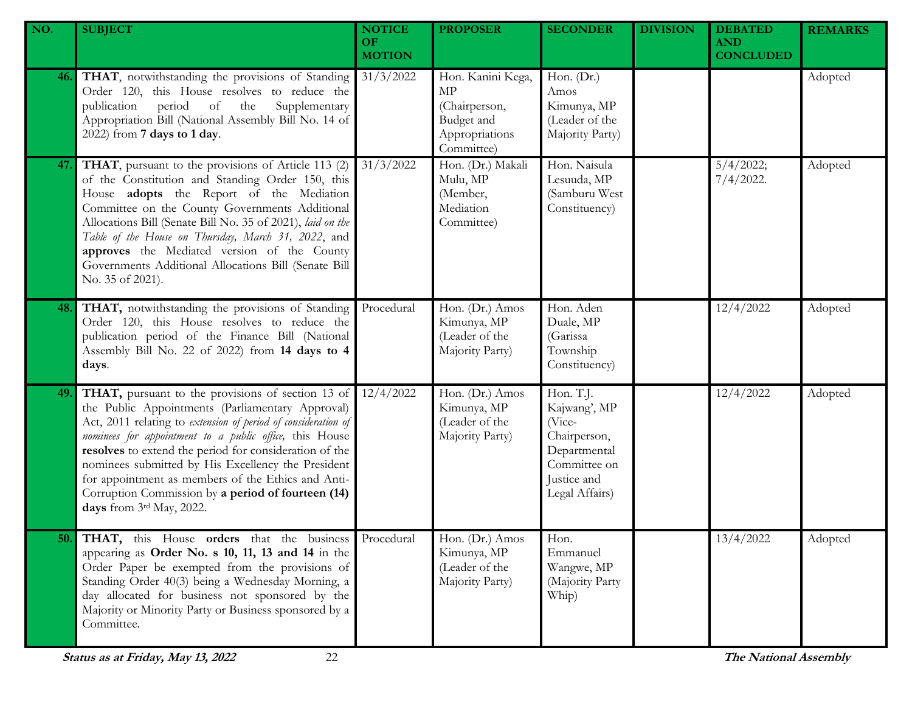| NO. | <b>SUBJECT</b>                                                                                                                                                                                                                                                                                                                                                                                                                                                                            | <b>NOTICE</b><br><b>OF</b><br><b>MOTION</b> | <b>PROPOSER</b>                                                                        | <b>SECONDER</b>                                                                                                      | <b>DIVISION</b> | <b>DEBATED</b><br><b>AND</b><br><b>CONCLUDED</b> | <b>REMARKS</b> |
|-----|-------------------------------------------------------------------------------------------------------------------------------------------------------------------------------------------------------------------------------------------------------------------------------------------------------------------------------------------------------------------------------------------------------------------------------------------------------------------------------------------|---------------------------------------------|----------------------------------------------------------------------------------------|----------------------------------------------------------------------------------------------------------------------|-----------------|--------------------------------------------------|----------------|
| 46. | THAT, notwithstanding the provisions of Standing<br>Order 120, this House resolves to reduce the<br>period of the<br>Supplementary<br>publication<br>Appropriation Bill (National Assembly Bill No. 14 of<br>2022) from 7 days to 1 day.                                                                                                                                                                                                                                                  | 31/3/2022                                   | Hon. Kanini Kega,<br>MP<br>(Chairperson,<br>Budget and<br>Appropriations<br>Committee) | Hon. (Dr.)<br>Amos<br>Kimunya, MP<br>(Leader of the<br>Majority Party)                                               |                 |                                                  | Adopted        |
| 47. | THAT, pursuant to the provisions of Article 113 (2)<br>of the Constitution and Standing Order 150, this<br>House adopts the Report of the Mediation<br>Committee on the County Governments Additional<br>Allocations Bill (Senate Bill No. 35 of 2021), laid on the<br>Table of the House on Thursday, March 31, 2022, and<br>approves the Mediated version of the County<br>Governments Additional Allocations Bill (Senate Bill<br>No. 35 of 2021).                                     | 31/3/2022                                   | Hon. (Dr.) Makali<br>Mulu, MP<br>(Member,<br>Mediation<br>Committee)                   | Hon. Naisula<br>Lesuuda, MP<br>(Samburu West<br>Constituency)                                                        |                 | 5/4/2022;<br>$7/4/2022$ .                        | Adopted        |
| 48. | THAT, notwithstanding the provisions of Standing<br>Order 120, this House resolves to reduce the<br>publication period of the Finance Bill (National<br>Assembly Bill No. 22 of 2022) from 14 days to 4<br>days.                                                                                                                                                                                                                                                                          | Procedural                                  | Hon. (Dr.) Amos<br>Kimunya, MP<br>(Leader of the<br>Majority Party)                    | Hon. Aden<br>Duale, MP<br>(Garissa<br>Township<br>Constituency)                                                      |                 | 12/4/2022                                        | Adopted        |
| 49. | THAT, pursuant to the provisions of section 13 of<br>the Public Appointments (Parliamentary Approval)<br>Act, 2011 relating to extension of period of consideration of<br>nominees for appointment to a public office, this House<br>resolves to extend the period for consideration of the<br>nominees submitted by His Excellency the President<br>for appointment as members of the Ethics and Anti-<br>Corruption Commission by a period of fourteen (14)<br>days from 3rd May, 2022. | 12/4/2022                                   | Hon. (Dr.) Amos<br>Kimunya, MP<br>(Leader of the<br>Majority Party)                    | Hon. T.J.<br>Kajwang', MP<br>(Vice-<br>Chairperson,<br>Departmental<br>Committee on<br>Justice and<br>Legal Affairs) |                 | 12/4/2022                                        | Adopted        |
|     | <b>50.</b> THAT, this House orders that the business Procedural<br>appearing as Order No. s 10, 11, 13 and 14 in the<br>Order Paper be exempted from the provisions of<br>Standing Order 40(3) being a Wednesday Morning, a<br>day allocated for business not sponsored by the<br>Majority or Minority Party or Business sponsored by a<br>Committee.                                                                                                                                     |                                             | Hon. (Dr.) Amos<br>Kimunya, MP<br>(Leader of the<br>Majority Party)                    | Hon.<br>Emmanuel<br>Wangwe, MP<br>(Majority Party<br>Whip)                                                           |                 | 13/4/2022                                        | Adopted        |